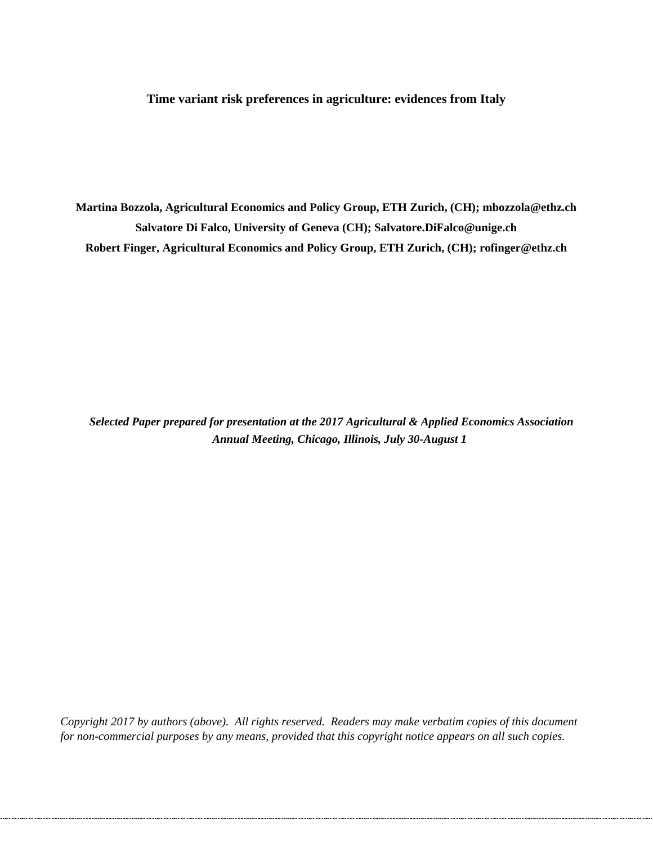**Time variant risk preferences in agriculture: evidences from Italy**

**Martina Bozzola, Agricultural Economics and Policy Group, ETH Zurich, (CH); mbozzola@ethz.ch Salvatore Di Falco, University of Geneva (CH); [Salvatore.DiFalco@unige.ch](mailto:Salvatore.DiFalco@unige.ch) Robert Finger, Agricultural Economics and Policy Group, ETH Zurich, (CH); rofinger@ethz.ch**

*Selected Paper prepared for presentation at the 2017 Agricultural & Applied Economics Association Annual Meeting, Chicago, Illinois, July 30-August 1*

*Copyright 2017 by authors (above). All rights reserved. Readers may make verbatim copies of this document for non-commercial purposes by any means, provided that this copyright notice appears on all such copies.*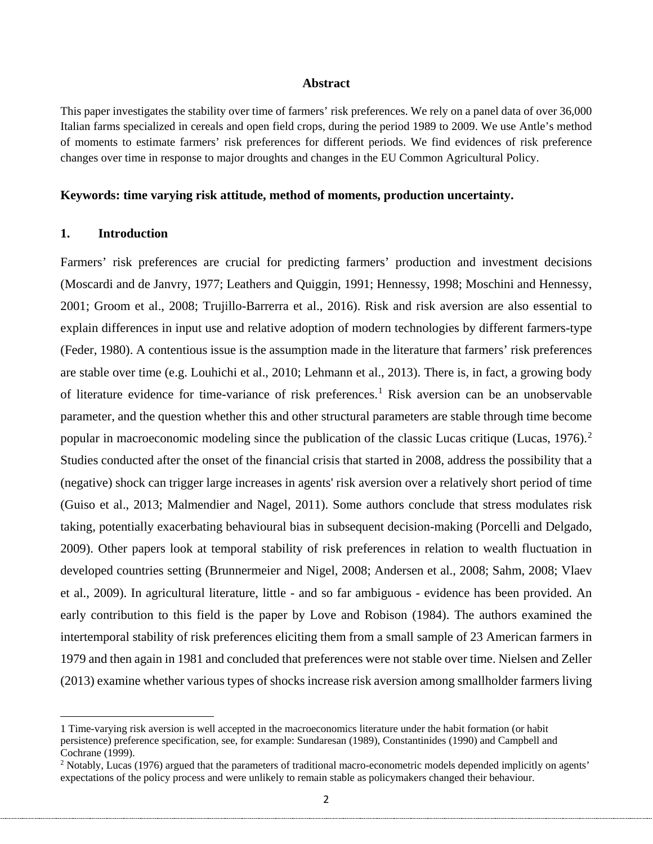#### **Abstract**

This paper investigates the stability over time of farmers' risk preferences. We rely on a panel data of over 36,000 Italian farms specialized in cereals and open field crops, during the period 1989 to 2009. We use Antle's method of moments to estimate farmers' risk preferences for different periods. We find evidences of risk preference changes over time in response to major droughts and changes in the EU Common Agricultural Policy.

#### **Keywords: time varying risk attitude, method of moments, production uncertainty.**

#### **1. Introduction**

 $\overline{\phantom{a}}$ 

Farmers' risk preferences are crucial for predicting farmers' production and investment decisions (Moscardi and de Janvry, 1977; Leathers and Quiggin, 1991; Hennessy, 1998; Moschini and Hennessy, 2001; Groom et al., 2008; Trujillo-Barrerra et al., 2016). Risk and risk aversion are also essential to explain differences in input use and relative adoption of modern technologies by different farmers-type (Feder, 1980). A contentious issue is the assumption made in the literature that farmers' risk preferences are stable over time (e.g. Louhichi et al., 2010; Lehmann et al., 2013). There is, in fact, a growing body of literature evidence for time-variance of risk preferences.<sup>[1](#page-1-0)</sup> Risk aversion can be an unobservable parameter, and the question whether this and other structural parameters are stable through time become popular in macroeconomic modeling since the publication of the classic Lucas critique (Lucas, 1976).<sup>[2](#page-1-1)</sup> Studies conducted after the onset of the financial crisis that started in 2008, address the possibility that a (negative) shock can trigger large increases in agents' risk aversion over a relatively short period of time (Guiso et al., 2013; Malmendier and Nagel, 2011). Some authors conclude that stress modulates risk taking, potentially exacerbating behavioural bias in subsequent decision-making (Porcelli and Delgado, 2009). Other papers look at temporal stability of risk preferences in relation to wealth fluctuation in developed countries setting (Brunnermeier and Nigel, 2008; Andersen et al., 2008; Sahm, 2008; Vlaev et al., 2009). In agricultural literature, little - and so far ambiguous - evidence has been provided. An early contribution to this field is the paper by Love and Robison (1984). The authors examined the intertemporal stability of risk preferences eliciting them from a small sample of 23 American farmers in 1979 and then again in 1981 and concluded that preferences were not stable over time. Nielsen and Zeller (2013) examine whether various types of shocks increase risk aversion among smallholder farmers living

<span id="page-1-0"></span><sup>1</sup> Time-varying risk aversion is well accepted in the macroeconomics literature under the habit formation (or habit persistence) preference specification, see, for example: Sundaresan (1989), Constantinides (1990) and Campbell and Cochrane (1999).

<span id="page-1-1"></span><sup>&</sup>lt;sup>2</sup> Notably, Lucas (1976) argued that the parameters of traditional macro-econometric models depended implicitly on agents' expectations of the policy process and were unlikely to remain stable as policymakers changed their behaviour.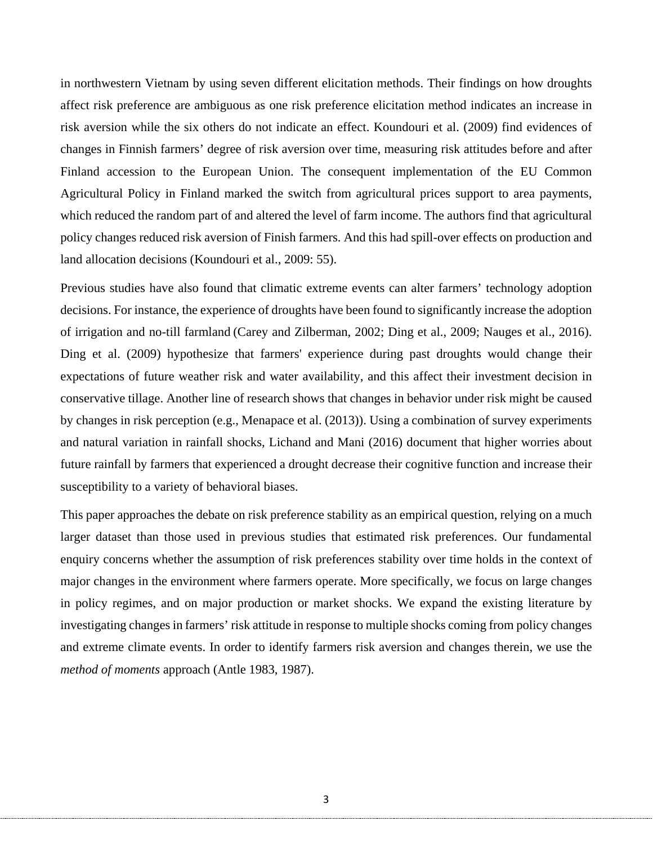in northwestern Vietnam by using seven different elicitation methods. Their findings on how droughts affect risk preference are ambiguous as one risk preference elicitation method indicates an increase in risk aversion while the six others do not indicate an effect. Koundouri et al. (2009) find evidences of changes in Finnish farmers' degree of risk aversion over time, measuring risk attitudes before and after Finland accession to the European Union. The consequent implementation of the EU Common Agricultural Policy in Finland marked the switch from agricultural prices support to area payments, which reduced the random part of and altered the level of farm income. The authors find that agricultural policy changes reduced risk aversion of Finish farmers. And this had spill-over effects on production and land allocation decisions (Koundouri et al., 2009: 55).

Previous studies have also found that climatic extreme events can alter farmers' technology adoption decisions. For instance, the experience of droughts have been found to significantly increase the adoption of irrigation and no-till farmland (Carey and Zilberman, 2002; Ding et al., 2009; Nauges et al., 2016). Ding et al. (2009) hypothesize that farmers' experience during past droughts would change their expectations of future weather risk and water availability, and this affect their investment decision in conservative tillage. Another line of research shows that changes in behavior under risk might be caused by changes in risk perception (e.g., Menapace et al. (2013)). Using a combination of survey experiments and natural variation in rainfall shocks, Lichand and Mani (2016) document that higher worries about future rainfall by farmers that experienced a drought decrease their cognitive function and increase their susceptibility to a variety of behavioral biases.

This paper approaches the debate on risk preference stability as an empirical question, relying on a much larger dataset than those used in previous studies that estimated risk preferences. Our fundamental enquiry concerns whether the assumption of risk preferences stability over time holds in the context of major changes in the environment where farmers operate. More specifically, we focus on large changes in policy regimes, and on major production or market shocks. We expand the existing literature by investigating changes in farmers' risk attitude in response to multiple shocks coming from policy changes and extreme climate events. In order to identify farmers risk aversion and changes therein, we use the *method of moments* approach (Antle 1983, 1987).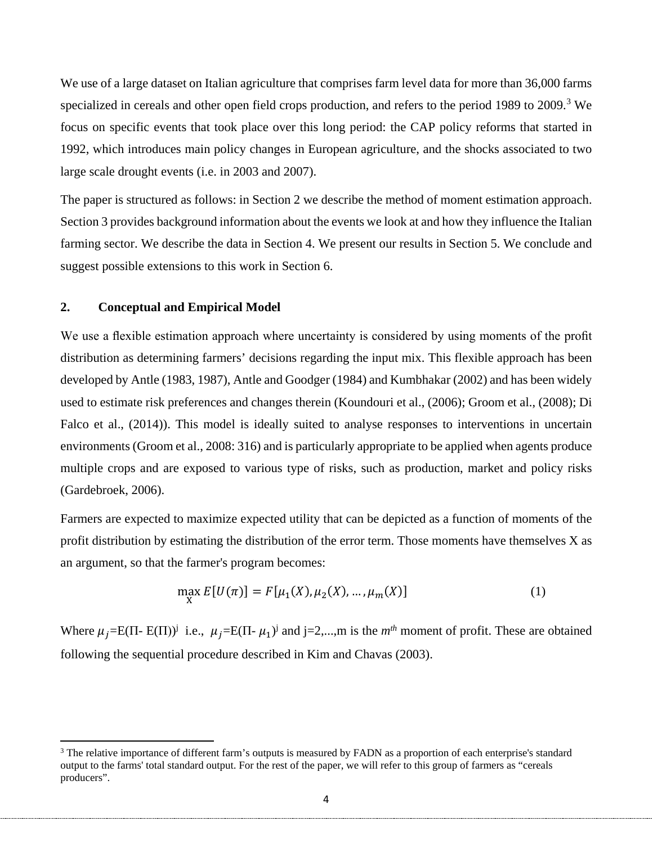We use of a large dataset on Italian agriculture that comprises farm level data for more than 36,000 farms specialized in cereals and other open field crops production, and refers to the period 1989 to 2009.<sup>[3](#page-3-0)</sup> We focus on specific events that took place over this long period: the CAP policy reforms that started in 1992, which introduces main policy changes in European agriculture, and the shocks associated to two large scale drought events (i.e. in 2003 and 2007).

The paper is structured as follows: in Section 2 we describe the method of moment estimation approach. Section 3 provides background information about the events we look at and how they influence the Italian farming sector. We describe the data in Section 4. We present our results in Section 5. We conclude and suggest possible extensions to this work in Section 6.

## **2. Conceptual and Empirical Model**

 $\overline{\phantom{a}}$ 

We use a flexible estimation approach where uncertainty is considered by using moments of the profit distribution as determining farmers' decisions regarding the input mix. This flexible approach has been developed by Antle (1983, 1987), Antle and Goodger (1984) and Kumbhakar (2002) and has been widely used to estimate risk preferences and changes therein (Koundouri et al., (2006); Groom et al., (2008); Di Falco et al., (2014)). This model is ideally suited to analyse responses to interventions in uncertain environments (Groom et al., 2008: 316) and is particularly appropriate to be applied when agents produce multiple crops and are exposed to various type of risks, such as production, market and policy risks (Gardebroek, 2006).

Farmers are expected to maximize expected utility that can be depicted as a function of moments of the profit distribution by estimating the distribution of the error term. Those moments have themselves X as an argument, so that the farmer's program becomes:

$$
\max_{X} E[U(\pi)] = F[\mu_1(X), \mu_2(X), \dots, \mu_m(X)] \tag{1}
$$

Where  $\mu_j = E(\Pi - E(\Pi))^j$  i.e.,  $\mu_j = E(\Pi - \mu_1)^j$  and j=2,...,m is the *m<sup>th</sup>* moment of profit. These are obtained following the sequential procedure described in Kim and Chavas (2003).

<span id="page-3-0"></span><sup>&</sup>lt;sup>3</sup> The relative importance of different farm's outputs is measured by FADN as a proportion of each enterprise's standard output to the farms' total standard output. For the rest of the paper, we will refer to this group of farmers as "cereals producers".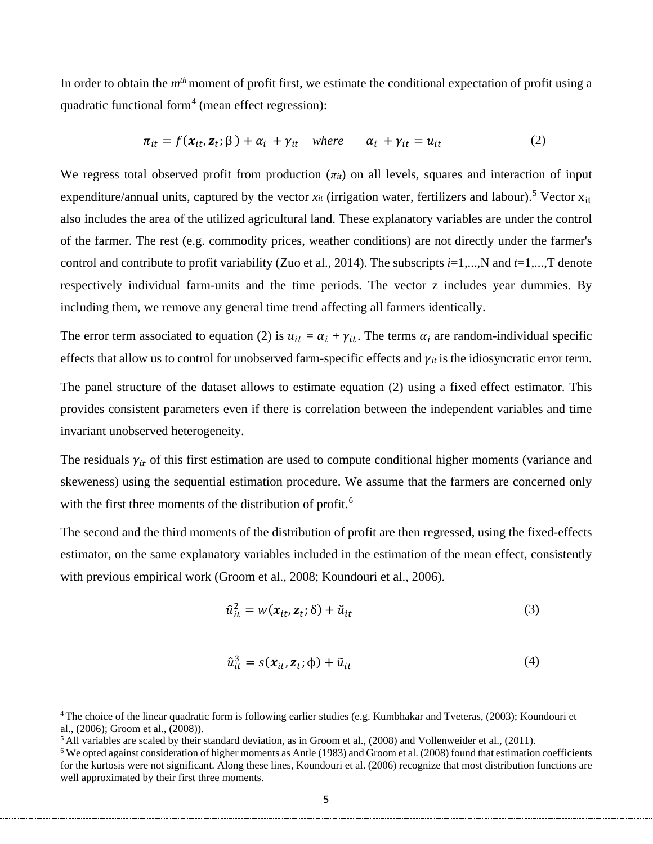In order to obtain the *mth* moment of profit first, we estimate the conditional expectation of profit using a quadratic functional form<sup>[4](#page-4-0)</sup> (mean effect regression):

$$
\pi_{it} = f(\mathbf{x}_{it}, \mathbf{z}_t; \boldsymbol{\beta}) + \alpha_i + \gamma_{it} \quad \text{where} \quad \alpha_i + \gamma_{it} = u_{it} \tag{2}
$$

We regress total observed profit from production  $(\pi_{it})$  on all levels, squares and interaction of input expenditure/annual units, captured by the vector  $x_{it}$  (irrigation water, fertilizers and labour).<sup>[5](#page-4-1)</sup> Vector  $x_{it}$ also includes the area of the utilized agricultural land. These explanatory variables are under the control of the farmer. The rest (e.g. commodity prices, weather conditions) are not directly under the farmer's control and contribute to profit variability (Zuo et al., 2014). The subscripts  $i=1,...,N$  and  $t=1,...,T$  denote respectively individual farm-units and the time periods. The vector z includes year dummies. By including them, we remove any general time trend affecting all farmers identically.

The error term associated to equation (2) is  $u_{it} = \alpha_i + \gamma_{it}$ . The terms  $\alpha_i$  are random-individual specific effects that allow us to control for unobserved farm-specific effects and  $\gamma_{it}$  is the idiosyncratic error term.

The panel structure of the dataset allows to estimate equation (2) using a fixed effect estimator. This provides consistent parameters even if there is correlation between the independent variables and time invariant unobserved heterogeneity.

The residuals  $\gamma_{it}$  of this first estimation are used to compute conditional higher moments (variance and skeweness) using the sequential estimation procedure. We assume that the farmers are concerned only with the first three moments of the distribution of profit.<sup>[6](#page-4-2)</sup>

The second and the third moments of the distribution of profit are then regressed, using the fixed-effects estimator, on the same explanatory variables included in the estimation of the mean effect, consistently with previous empirical work (Groom et al., 2008; Koundouri et al., 2006).

$$
\hat{u}_{it}^2 = w(x_{it}, z_t; \delta) + \check{u}_{it}
$$
\n(3)

$$
\hat{u}_{it}^3 = s(x_{it}, \mathbf{z}_t; \phi) + \tilde{u}_{it} \tag{4}
$$

 $\overline{\phantom{a}}$ 

<span id="page-4-0"></span><sup>4</sup> The choice of the linear quadratic form is following earlier studies (e.g. Kumbhakar and Tveteras, (2003); Koundouri et al., (2006); Groom et al., (2008)).

<span id="page-4-1"></span> $5$  All variables are scaled by their standard deviation, as in Groom et al., (2008) and Vollenweider et al., (2011).

<span id="page-4-2"></span><sup>&</sup>lt;sup>6</sup> We opted against consideration of higher moments as Antle (1983) and Groom et al. (2008) found that estimation coefficients for the kurtosis were not significant. Along these lines, Koundouri et al. (2006) recognize that most distribution functions are well approximated by their first three moments.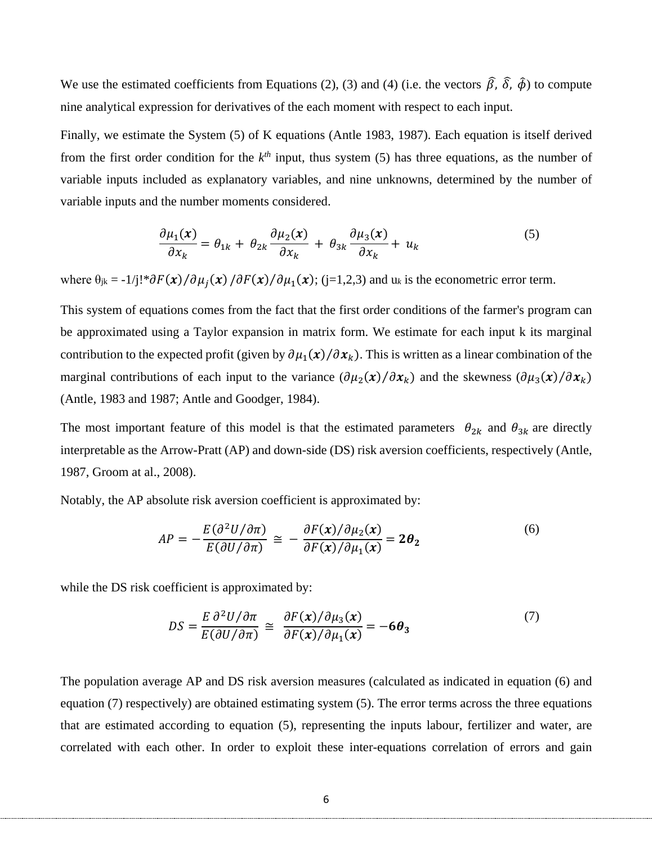We use the estimated coefficients from Equations (2), (3) and (4) (i.e. the vectors  $\hat{\beta}$ ,  $\hat{\delta}$ ,  $\hat{\phi}$ ) to compute nine analytical expression for derivatives of the each moment with respect to each input.

Finally, we estimate the System (5) of K equations (Antle 1983, 1987). Each equation is itself derived from the first order condition for the  $k<sup>th</sup>$  input, thus system (5) has three equations, as the number of variable inputs included as explanatory variables, and nine unknowns, determined by the number of variable inputs and the number moments considered.

$$
\frac{\partial \mu_1(\mathbf{x})}{\partial x_k} = \theta_{1k} + \theta_{2k} \frac{\partial \mu_2(\mathbf{x})}{\partial x_k} + \theta_{3k} \frac{\partial \mu_3(\mathbf{x})}{\partial x_k} + u_k \tag{5}
$$

where  $\theta_{jk} = -1/j! * \partial F(\mathbf{x}) / \partial \mu_j(\mathbf{x}) / \partial F(\mathbf{x}) / \partial \mu_1(\mathbf{x})$ ; (j=1,2,3) and u<sub>k</sub> is the econometric error term.

This system of equations comes from the fact that the first order conditions of the farmer's program can be approximated using a Taylor expansion in matrix form. We estimate for each input k its marginal contribution to the expected profit (given by  $\partial \mu_1(x)/\partial x_k$ ). This is written as a linear combination of the marginal contributions of each input to the variance  $(\partial \mu_2(x)/\partial x_k)$  and the skewness  $(\partial \mu_3(x)/\partial x_k)$ (Antle, 1983 and 1987; Antle and Goodger, 1984).

The most important feature of this model is that the estimated parameters  $\theta_{2k}$  and  $\theta_{3k}$  are directly interpretable as the Arrow-Pratt (AP) and down-side (DS) risk aversion coefficients, respectively (Antle, 1987, Groom at al., 2008).

Notably, the AP absolute risk aversion coefficient is approximated by:

$$
AP = -\frac{E(\partial^2 U/\partial \pi)}{E(\partial U/\partial \pi)} \cong -\frac{\partial F(x)/\partial \mu_2(x)}{\partial F(x)/\partial \mu_1(x)} = 2\theta_2
$$
\n(6)

while the DS risk coefficient is approximated by:

$$
DS = \frac{E \partial^2 U / \partial \pi}{E(\partial U / \partial \pi)} \cong \frac{\partial F(x) / \partial \mu_3(x)}{\partial F(x) / \partial \mu_1(x)} = -6\theta_3 \tag{7}
$$

The population average AP and DS risk aversion measures (calculated as indicated in equation (6) and equation (7) respectively) are obtained estimating system (5). The error terms across the three equations that are estimated according to equation (5), representing the inputs labour, fertilizer and water, are correlated with each other. In order to exploit these inter-equations correlation of errors and gain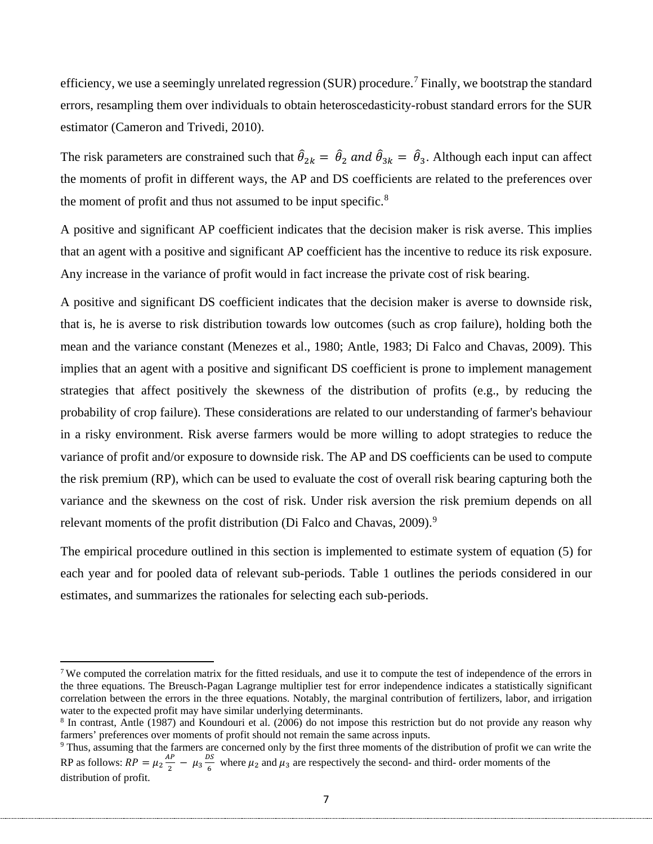efficiency, we use a seemingly unrelated regression (SUR) procedure.<sup>[7](#page-6-0)</sup> Finally, we bootstrap the standard errors, resampling them over individuals to obtain heteroscedasticity-robust standard errors for the SUR estimator (Cameron and Trivedi, 2010).

The risk parameters are constrained such that  $\hat{\theta}_{2k} = \hat{\theta}_2$  and  $\hat{\theta}_{3k} = \hat{\theta}_3$ . Although each input can affect the moments of profit in different ways, the AP and DS coefficients are related to the preferences over the moment of profit and thus not assumed to be input specific.<sup>[8](#page-6-1)</sup>

A positive and significant AP coefficient indicates that the decision maker is risk averse. This implies that an agent with a positive and significant AP coefficient has the incentive to reduce its risk exposure. Any increase in the variance of profit would in fact increase the private cost of risk bearing.

A positive and significant DS coefficient indicates that the decision maker is averse to downside risk, that is, he is averse to risk distribution towards low outcomes (such as crop failure), holding both the mean and the variance constant (Menezes et al., 1980; Antle, 1983; Di Falco and Chavas, 2009). This implies that an agent with a positive and significant DS coefficient is prone to implement management strategies that affect positively the skewness of the distribution of profits (e.g., by reducing the probability of crop failure). These considerations are related to our understanding of farmer's behaviour in a risky environment. Risk averse farmers would be more willing to adopt strategies to reduce the variance of profit and/or exposure to downside risk. The AP and DS coefficients can be used to compute the risk premium (RP), which can be used to evaluate the cost of overall risk bearing capturing both the variance and the skewness on the cost of risk. Under risk aversion the risk premium depends on all relevant moments of the profit distribution (Di Falco and Chavas, 200[9](#page-6-2)).<sup>9</sup>

The empirical procedure outlined in this section is implemented to estimate system of equation (5) for each year and for pooled data of relevant sub-periods. Table 1 outlines the periods considered in our estimates, and summarizes the rationales for selecting each sub-periods.

 $\overline{\phantom{a}}$ 

<span id="page-6-0"></span><sup>&</sup>lt;sup>7</sup> We computed the correlation matrix for the fitted residuals, and use it to compute the test of independence of the errors in the three equations. The Breusch-Pagan Lagrange multiplier test for error independence indicates a statistically significant correlation between the errors in the three equations. Notably, the marginal contribution of fertilizers, labor, and irrigation water to the expected profit may have similar underlying determinants.

<span id="page-6-1"></span><sup>8</sup> In contrast, Antle (1987) and Koundouri et al. (2006) do not impose this restriction but do not provide any reason why farmers' preferences over moments of profit should not remain the same across inputs.

<span id="page-6-2"></span><sup>&</sup>lt;sup>9</sup> Thus, assuming that the farmers are concerned only by the first three moments of the distribution of profit we can write the RP as follows:  $RP = \mu_2 \frac{AP}{2} - \mu_3 \frac{DS}{6}$  where  $\mu_2$  and  $\mu_3$  are respectively the second- and third- order moments of the distribution of profit.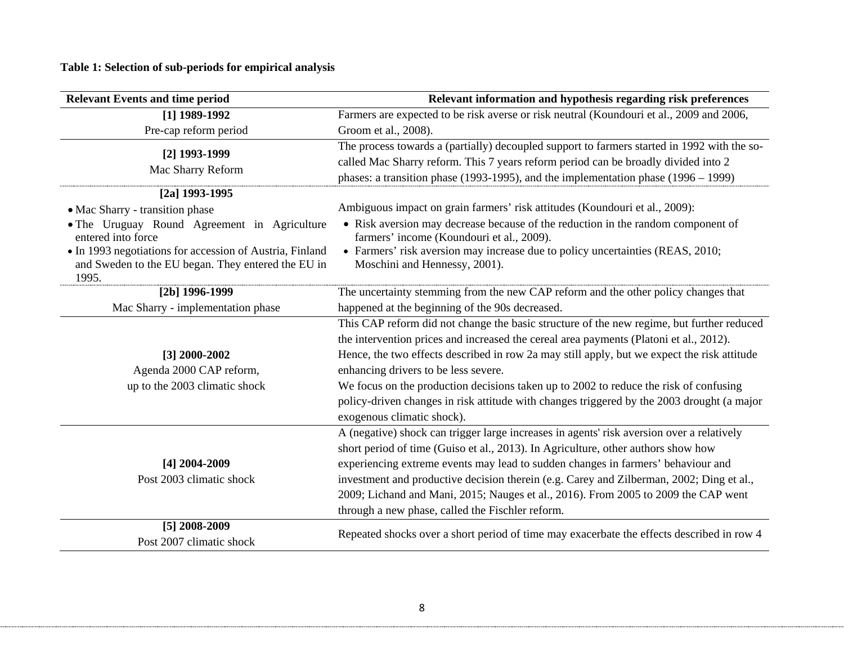**Table 1: Selection of sub-periods for empirical analysis**

| <b>Relevant Events and time period</b>                             | Relevant information and hypothesis regarding risk preferences                                                                |
|--------------------------------------------------------------------|-------------------------------------------------------------------------------------------------------------------------------|
| [1] 1989-1992                                                      | Farmers are expected to be risk averse or risk neutral (Koundouri et al., 2009 and 2006,                                      |
| Pre-cap reform period                                              | Groom et al., 2008).                                                                                                          |
| [2] 1993-1999                                                      | The process towards a (partially) decoupled support to farmers started in 1992 with the so-                                   |
| Mac Sharry Reform                                                  | called Mac Sharry reform. This 7 years reform period can be broadly divided into 2                                            |
|                                                                    | phases: a transition phase (1993-1995), and the implementation phase $(1996 - 1999)$                                          |
| $[2a]$ 1993-1995                                                   |                                                                                                                               |
| • Mac Sharry - transition phase                                    | Ambiguous impact on grain farmers' risk attitudes (Koundouri et al., 2009):                                                   |
| • The Uruguay Round Agreement in Agriculture<br>entered into force | • Risk aversion may decrease because of the reduction in the random component of<br>farmers' income (Koundouri et al., 2009). |
| • In 1993 negotiations for accession of Austria, Finland           | • Farmers' risk aversion may increase due to policy uncertainties (REAS, 2010;                                                |
| and Sweden to the EU began. They entered the EU in<br>1995.        | Moschini and Hennessy, 2001).                                                                                                 |
| $[2b]$ 1996-1999                                                   | The uncertainty stemming from the new CAP reform and the other policy changes that                                            |
| Mac Sharry - implementation phase                                  | happened at the beginning of the 90s decreased.                                                                               |
|                                                                    | This CAP reform did not change the basic structure of the new regime, but further reduced                                     |
|                                                                    | the intervention prices and increased the cereal area payments (Platoni et al., 2012).                                        |
| $[3]$ 2000-2002                                                    | Hence, the two effects described in row 2a may still apply, but we expect the risk attitude                                   |
| Agenda 2000 CAP reform,                                            | enhancing drivers to be less severe.                                                                                          |
| up to the 2003 climatic shock                                      | We focus on the production decisions taken up to 2002 to reduce the risk of confusing                                         |
|                                                                    | policy-driven changes in risk attitude with changes triggered by the 2003 drought (a major                                    |
|                                                                    | exogenous climatic shock).                                                                                                    |
|                                                                    | A (negative) shock can trigger large increases in agents' risk aversion over a relatively                                     |
|                                                                    | short period of time (Guiso et al., 2013). In Agriculture, other authors show how                                             |
| [4] 2004-2009                                                      | experiencing extreme events may lead to sudden changes in farmers' behaviour and                                              |
| Post 2003 climatic shock                                           | investment and productive decision therein (e.g. Carey and Zilberman, 2002; Ding et al.,                                      |
|                                                                    | 2009; Lichand and Mani, 2015; Nauges et al., 2016). From 2005 to 2009 the CAP went                                            |
|                                                                    | through a new phase, called the Fischler reform.                                                                              |
| [5] 2008-2009                                                      | Repeated shocks over a short period of time may exacerbate the effects described in row 4                                     |
| Post 2007 climatic shock                                           |                                                                                                                               |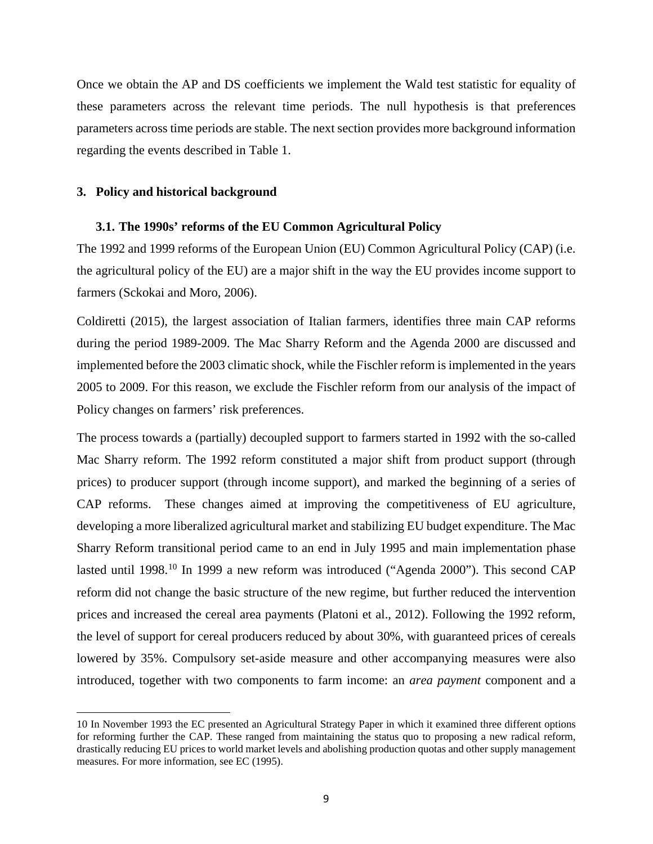Once we obtain the AP and DS coefficients we implement the Wald test statistic for equality of these parameters across the relevant time periods. The null hypothesis is that preferences parameters across time periods are stable. The next section provides more background information regarding the events described in Table 1.

#### **3. Policy and historical background**

 $\overline{\phantom{a}}$ 

#### **3.1. The 1990s' reforms of the EU Common Agricultural Policy**

The 1992 and 1999 reforms of the European Union (EU) Common Agricultural Policy (CAP) (i.e. the agricultural policy of the EU) are a major shift in the way the EU provides income support to farmers (Sckokai and Moro, 2006).

Coldiretti (2015), the largest association of Italian farmers, identifies three main CAP reforms during the period 1989-2009. The Mac Sharry Reform and the Agenda 2000 are discussed and implemented before the 2003 climatic shock, while the Fischler reform is implemented in the years 2005 to 2009. For this reason, we exclude the Fischler reform from our analysis of the impact of Policy changes on farmers' risk preferences.

The process towards a (partially) decoupled support to farmers started in 1992 with the so-called Mac Sharry reform. The 1992 reform constituted a major shift from product support (through prices) to producer support (through income support), and marked the beginning of a series of CAP reforms. These changes aimed at improving the competitiveness of EU agriculture, developing a more liberalized agricultural market and stabilizing EU budget expenditure. The Mac Sharry Reform transitional period came to an end in July 1995 and main implementation phase lasted until 1998.<sup>[10](#page-8-0)</sup> In 1999 a new reform was introduced ("Agenda 2000"). This second CAP reform did not change the basic structure of the new regime, but further reduced the intervention prices and increased the cereal area payments (Platoni et al., 2012). Following the 1992 reform, the level of support for cereal producers reduced by about 30%, with guaranteed prices of cereals lowered by 35%. Compulsory set-aside measure and other accompanying measures were also introduced, together with two components to farm income: an *area payment* component and a

<span id="page-8-0"></span><sup>10</sup> In November 1993 the EC presented an Agricultural Strategy Paper in which it examined three different options for reforming further the CAP. These ranged from maintaining the status quo to proposing a new radical reform, drastically reducing EU prices to world market levels and abolishing production quotas and other supply management measures. For more information, see EC (1995).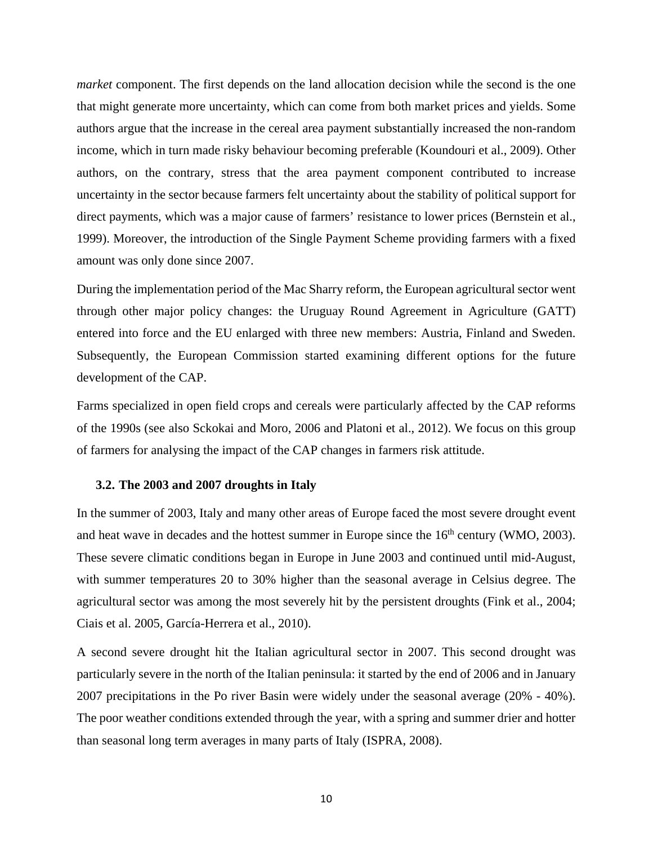*market* component. The first depends on the land allocation decision while the second is the one that might generate more uncertainty, which can come from both market prices and yields. Some authors argue that the increase in the cereal area payment substantially increased the non-random income, which in turn made risky behaviour becoming preferable (Koundouri et al., 2009). Other authors, on the contrary, stress that the area payment component contributed to increase uncertainty in the sector because farmers felt uncertainty about the stability of political support for direct payments, which was a major cause of farmers' resistance to lower prices (Bernstein et al., 1999). Moreover, the introduction of the Single Payment Scheme providing farmers with a fixed amount was only done since 2007.

During the implementation period of the Mac Sharry reform, the European agricultural sector went through other major policy changes: the Uruguay Round Agreement in Agriculture (GATT) entered into force and the EU enlarged with three new members: Austria, Finland and Sweden. Subsequently, the European Commission started examining different options for the future development of the CAP.

Farms specialized in open field crops and cereals were particularly affected by the CAP reforms of the 1990s (see also Sckokai and Moro, 2006 and Platoni et al., 2012). We focus on this group of farmers for analysing the impact of the CAP changes in farmers risk attitude.

#### **3.2. The 2003 and 2007 droughts in Italy**

In the summer of 2003, Italy and many other areas of Europe faced the most severe drought event and heat wave in decades and the hottest summer in Europe since the  $16<sup>th</sup>$  century (WMO, 2003). These severe climatic conditions began in Europe in June 2003 and continued until mid-August, with summer temperatures 20 to 30% higher than the seasonal average in Celsius degree. The agricultural sector was among the most severely hit by the persistent droughts (Fink et al., 2004; Ciais et al. 2005, García-Herrera et al., 2010).

A second severe drought hit the Italian agricultural sector in 2007. This second drought was particularly severe in the north of the Italian peninsula: it started by the end of 2006 and in January 2007 precipitations in the Po river Basin were widely under the seasonal average (20% - 40%). The poor weather conditions extended through the year, with a spring and summer drier and hotter than seasonal long term averages in many parts of Italy (ISPRA, 2008).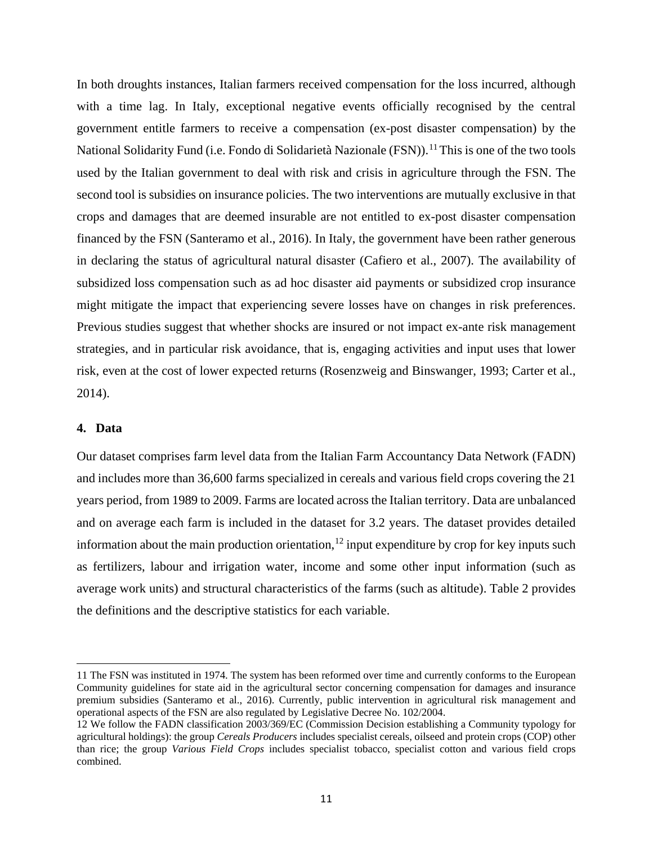In both droughts instances, Italian farmers received compensation for the loss incurred, although with a time lag. In Italy, exceptional negative events officially recognised by the central government entitle farmers to receive a compensation (ex-post disaster compensation) by the National Solidarity Fund (i.e. Fondo di Solidarietà Nazionale (FSN)).<sup>[11](#page-10-0)</sup> This is one of the two tools used by the Italian government to deal with risk and crisis in agriculture through the FSN. The second tool is subsidies on insurance policies. The two interventions are mutually exclusive in that crops and damages that are deemed insurable are not entitled to ex-post disaster compensation financed by the FSN (Santeramo et al., 2016). In Italy, the government have been rather generous in declaring the status of agricultural natural disaster (Cafiero et al., 2007). The availability of subsidized loss compensation such as ad hoc disaster aid payments or subsidized crop insurance might mitigate the impact that experiencing severe losses have on changes in risk preferences. Previous studies suggest that whether shocks are insured or not impact ex-ante risk management strategies, and in particular risk avoidance, that is, engaging activities and input uses that lower risk, even at the cost of lower expected returns (Rosenzweig and Binswanger, 1993; Carter et al., 2014).

## **4. Data**

 $\overline{\phantom{a}}$ 

Our dataset comprises farm level data from the Italian Farm Accountancy Data Network (FADN) and includes more than 36,600 farms specialized in cereals and various field crops covering the 21 years period, from 1989 to 2009. Farms are located across the Italian territory. Data are unbalanced and on average each farm is included in the dataset for 3.2 years. The dataset provides detailed information about the main production orientation,  $12$  input expenditure by crop for key inputs such as fertilizers, labour and irrigation water, income and some other input information (such as average work units) and structural characteristics of the farms (such as altitude). Table 2 provides the definitions and the descriptive statistics for each variable.

<span id="page-10-0"></span><sup>11</sup> The FSN was instituted in 1974. The system has been reformed over time and currently conforms to the European Community guidelines for state aid in the agricultural sector concerning compensation for damages and insurance premium subsidies (Santeramo et al., 2016). Currently, public intervention in agricultural risk management and operational aspects of the FSN are also regulated by Legislative Decree No. 102/2004.

<span id="page-10-1"></span><sup>12</sup> We follow the FADN classification 2003/369/EC (Commission Decision establishing a Community typology for agricultural holdings): the group *Cereals Producers* includes specialist cereals, oilseed and protein crops (COP) other than rice; the group *Various Field Crops* includes specialist tobacco, specialist cotton and various field crops combined.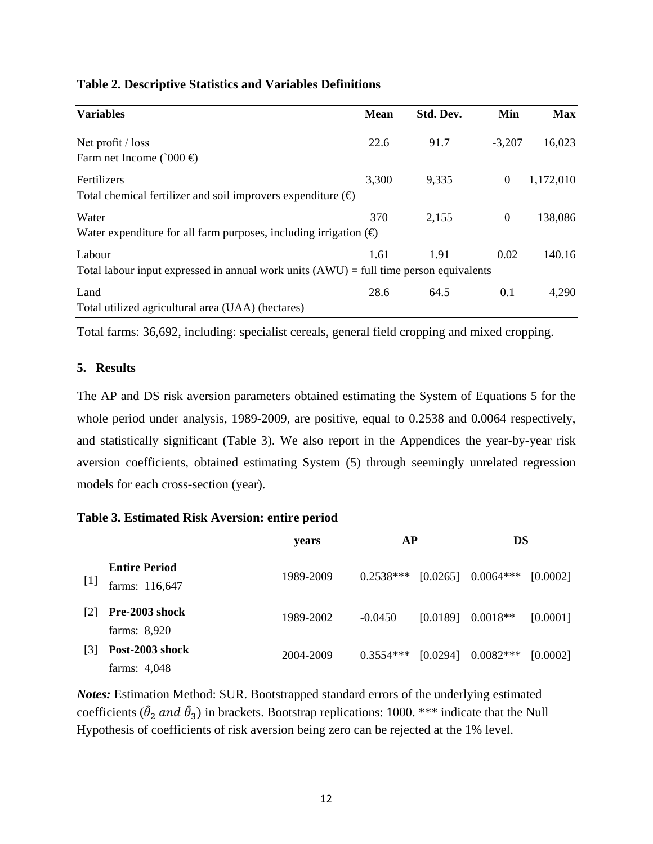| <b>Table 2. Descriptive Statistics and Variables Definitions</b> |  |  |  |
|------------------------------------------------------------------|--|--|--|
|------------------------------------------------------------------|--|--|--|

| <b>Variables</b>                                                                                   | <b>Mean</b> | Std. Dev. | Min              | <b>Max</b> |
|----------------------------------------------------------------------------------------------------|-------------|-----------|------------------|------------|
| Net profit / loss<br>Farm net Income ( $000 \oplus$                                                | 22.6        | 91.7      | $-3,207$         | 16,023     |
| Fertilizers<br>Total chemical fertilizer and soil improvers expenditure $(\oplus)$                 | 3,300       | 9,335     | $\boldsymbol{0}$ | 1,172,010  |
| Water<br>Water expenditure for all farm purposes, including irrigation $(\oplus)$                  | 370         | 2,155     | $\overline{0}$   | 138,086    |
| Labour<br>Total labour input expressed in annual work units $(AWU) = full$ time person equivalents | 1.61        | 1.91      | 0.02             | 140.16     |
| Land<br>Total utilized agricultural area (UAA) (hectares)                                          | 28.6        | 64.5      | 0.1              | 4,290      |

Total farms: 36,692, including: specialist cereals, general field cropping and mixed cropping.

## **5. Results**

The AP and DS risk aversion parameters obtained estimating the System of Equations 5 for the whole period under analysis, 1989-2009, are positive, equal to 0.2538 and 0.0064 respectively, and statistically significant (Table 3). We also report in the Appendices the year-by-year risk aversion coefficients, obtained estimating System (5) through seemingly unrelated regression models for each cross-section (year).

| Table 3. Estimated Risk Aversion: entire period |  |  |  |  |
|-------------------------------------------------|--|--|--|--|
|-------------------------------------------------|--|--|--|--|

|       |                                        | years     | AP          |          | DS          |          |
|-------|----------------------------------------|-----------|-------------|----------|-------------|----------|
| $[1]$ | <b>Entire Period</b><br>farms: 116,647 | 1989-2009 | $0.2538***$ | [0.0265] | $0.0064***$ | [0.0002] |
| [2]   | Pre-2003 shock<br>farms: 8,920         | 1989-2002 | $-0.0450$   | [0.0189] | $0.0018**$  | [0.0001] |
| [3]   | Post-2003 shock<br>farms: 4,048        | 2004-2009 | $0.3554***$ | [0.0294] | $0.0082***$ | [0.0002] |

*Notes:* Estimation Method: SUR. Bootstrapped standard errors of the underlying estimated coefficients ( $\hat{\theta}_2$  and  $\hat{\theta}_3$ ) in brackets. Bootstrap replications: 1000. \*\*\* indicate that the Null Hypothesis of coefficients of risk aversion being zero can be rejected at the 1% level.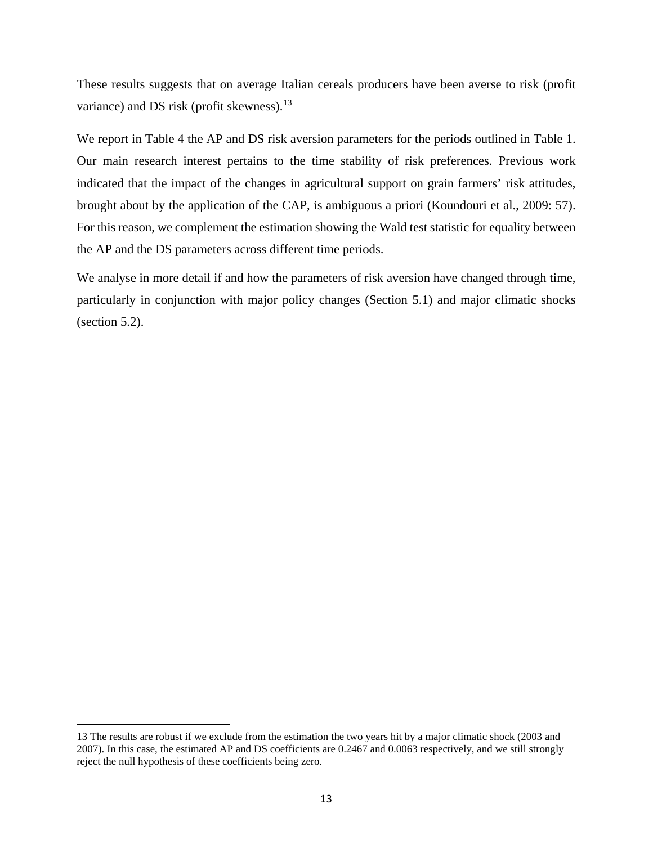These results suggests that on average Italian cereals producers have been averse to risk (profit variance) and DS risk (profit skewness). $13$ 

We report in Table 4 the AP and DS risk aversion parameters for the periods outlined in Table 1. Our main research interest pertains to the time stability of risk preferences. Previous work indicated that the impact of the changes in agricultural support on grain farmers' risk attitudes, brought about by the application of the CAP, is ambiguous a priori (Koundouri et al., 2009: 57). For this reason, we complement the estimation showing the Wald test statistic for equality between the AP and the DS parameters across different time periods.

We analyse in more detail if and how the parameters of risk aversion have changed through time, particularly in conjunction with major policy changes (Section 5.1) and major climatic shocks (section 5.2).

l

<span id="page-12-0"></span><sup>13</sup> The results are robust if we exclude from the estimation the two years hit by a major climatic shock (2003 and 2007). In this case, the estimated AP and DS coefficients are 0.2467 and 0.0063 respectively, and we still strongly reject the null hypothesis of these coefficients being zero.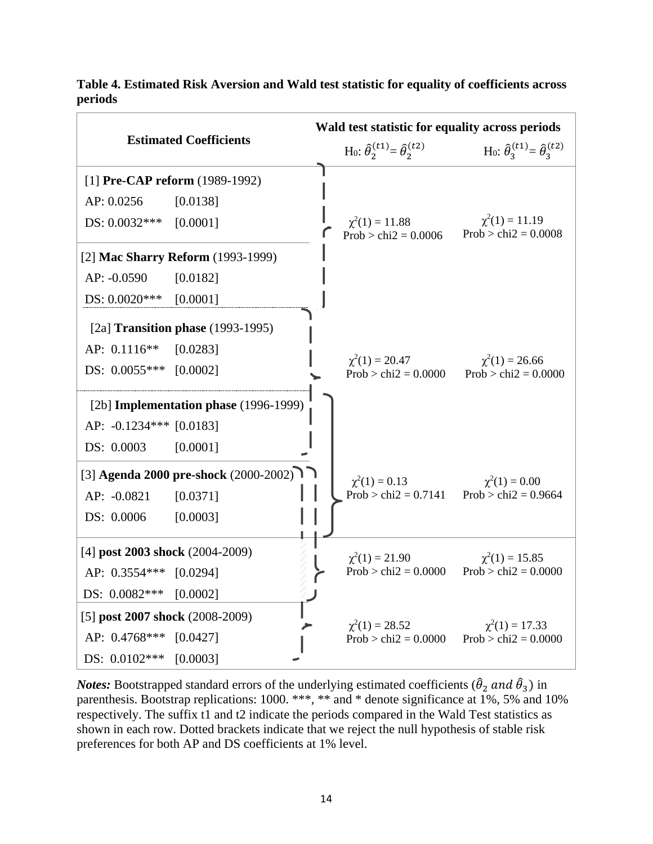|                                         | Wald test statistic for equality across periods                      |                                                                  |  |  |
|-----------------------------------------|----------------------------------------------------------------------|------------------------------------------------------------------|--|--|
| <b>Estimated Coefficients</b>           | H <sub>0</sub> : $\hat{\theta}_{2}^{(t1)} = \hat{\theta}_{2}^{(t2)}$ | H <sub>0</sub> : $\hat{\theta}_3^{(t1)} = \hat{\theta}_3^{(t2)}$ |  |  |
| [1] Pre-CAP reform $(1989-1992)$        |                                                                      |                                                                  |  |  |
| AP: 0.0256<br>[0.0138]                  |                                                                      |                                                                  |  |  |
| DS: 0.0032***<br>[0.0001]               | $\chi^2(1) = 11.88$<br>Prob > chi2 = $0.0006$                        | $\chi^2(1) = 11.19$<br>Prob > chi $2 = 0.0008$                   |  |  |
| [2] Mac Sharry Reform (1993-1999)       |                                                                      |                                                                  |  |  |
| AP: -0.0590<br>[0.0182]                 |                                                                      |                                                                  |  |  |
| DS: $0.0020***$<br>[0.0001]             |                                                                      |                                                                  |  |  |
| [2a] Transition phase $(1993-1995)$     |                                                                      |                                                                  |  |  |
| AP: $0.1116**$<br>[0.0283]              |                                                                      |                                                                  |  |  |
| DS: $0.0055***$ [0.0002]                | $\chi^2(1) = 20.47$<br>Prob > chi $2 = 0.0000$                       | $\chi^2(1) = 26.66$<br>$Prob > chi2 = 0.0000$                    |  |  |
| [2b] Implementation phase (1996-1999)   |                                                                      |                                                                  |  |  |
| AP: -0.1234*** [0.0183]                 |                                                                      |                                                                  |  |  |
| DS: 0.0003<br>[0.0001]                  |                                                                      |                                                                  |  |  |
| [3] Agenda 2000 pre-shock $(2000-2002)$ | $\chi^2(1) = 0.13$                                                   | $\chi^2(1) = 0.00$                                               |  |  |
| AP: -0.0821<br>[0.0371]                 | Prob > chi2 = $0.7141$ Prob > chi2 = 0.9664                          |                                                                  |  |  |
| DS: 0.0006<br>[0.0003]                  |                                                                      |                                                                  |  |  |
| [4] post 2003 shock $(2004-2009)$       | $\chi^2(1) = 21.90$                                                  | $\chi^2(1) = 15.85$                                              |  |  |
| AP: 0.3554***<br>[0.0294]               | $Prob > chi2 = 0.0000$                                               | $Prob > chi2 = 0.0000$                                           |  |  |
| DS: $0.0082***$<br>[0.0002]             |                                                                      |                                                                  |  |  |
| [5] post 2007 shock (2008-2009)         | $\chi^2(1) = 28.52$                                                  | $\chi^2(1) = 17.33$                                              |  |  |
| AP: 0.4768*** [0.0427]                  | Prob > chi $2 = 0.0000$                                              | $Prob > chi2 = 0.0000$                                           |  |  |
| DS: $0.0102***$<br>[0.0003]             |                                                                      |                                                                  |  |  |

**Table 4. Estimated Risk Aversion and Wald test statistic for equality of coefficients across periods**

*Notes:* Bootstrapped standard errors of the underlying estimated coefficients ( $\hat{\theta}_2$  and  $\hat{\theta}_3$ ) in parenthesis. Bootstrap replications: 1000. \*\*\*, \*\* and \* denote significance at 1%, 5% and 10% respectively. The suffix t1 and t2 indicate the periods compared in the Wald Test statistics as shown in each row. Dotted brackets indicate that we reject the null hypothesis of stable risk preferences for both AP and DS coefficients at 1% level.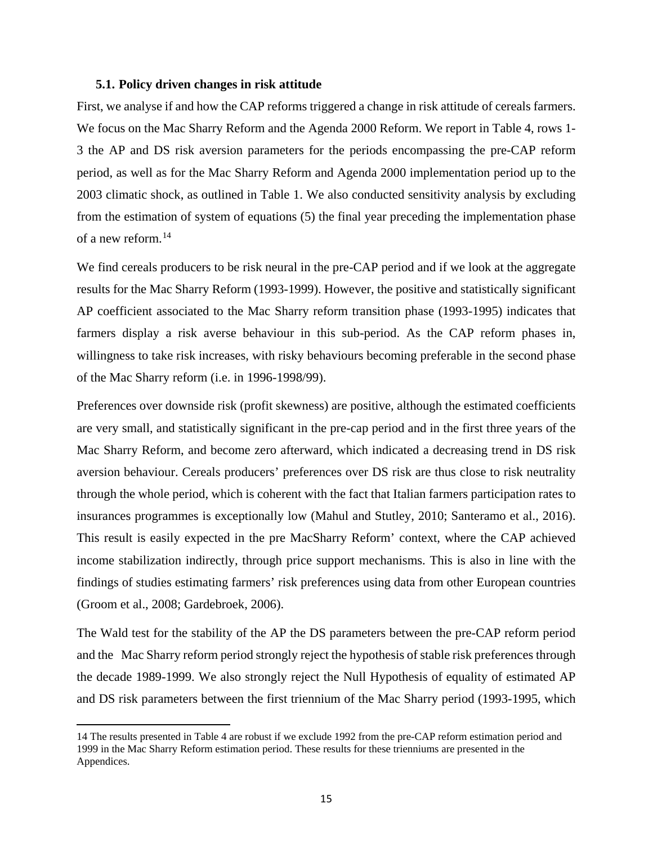#### **5.1. Policy driven changes in risk attitude**

First, we analyse if and how the CAP reforms triggered a change in risk attitude of cereals farmers. We focus on the Mac Sharry Reform and the Agenda 2000 Reform. We report in Table 4, rows 1- 3 the AP and DS risk aversion parameters for the periods encompassing the pre-CAP reform period, as well as for the Mac Sharry Reform and Agenda 2000 implementation period up to the 2003 climatic shock, as outlined in Table 1. We also conducted sensitivity analysis by excluding from the estimation of system of equations (5) the final year preceding the implementation phase of a new reform.[14](#page-14-0)

We find cereals producers to be risk neural in the pre-CAP period and if we look at the aggregate results for the Mac Sharry Reform (1993-1999). However, the positive and statistically significant AP coefficient associated to the Mac Sharry reform transition phase (1993-1995) indicates that farmers display a risk averse behaviour in this sub-period. As the CAP reform phases in, willingness to take risk increases, with risky behaviours becoming preferable in the second phase of the Mac Sharry reform (i.e. in 1996-1998/99).

Preferences over downside risk (profit skewness) are positive, although the estimated coefficients are very small, and statistically significant in the pre-cap period and in the first three years of the Mac Sharry Reform, and become zero afterward, which indicated a decreasing trend in DS risk aversion behaviour. Cereals producers' preferences over DS risk are thus close to risk neutrality through the whole period, which is coherent with the fact that Italian farmers participation rates to insurances programmes is exceptionally low (Mahul and Stutley, 2010; Santeramo et al., 2016). This result is easily expected in the pre MacSharry Reform' context, where the CAP achieved income stabilization indirectly, through price support mechanisms. This is also in line with the findings of studies estimating farmers' risk preferences using data from other European countries (Groom et al., 2008; Gardebroek, 2006).

The Wald test for the stability of the AP the DS parameters between the pre-CAP reform period and the Mac Sharry reform period strongly reject the hypothesis of stable risk preferences through the decade 1989-1999. We also strongly reject the Null Hypothesis of equality of estimated AP and DS risk parameters between the first triennium of the Mac Sharry period (1993-1995, which

l

<span id="page-14-0"></span><sup>14</sup> The results presented in Table 4 are robust if we exclude 1992 from the pre-CAP reform estimation period and 1999 in the Mac Sharry Reform estimation period. These results for these trienniums are presented in the Appendices.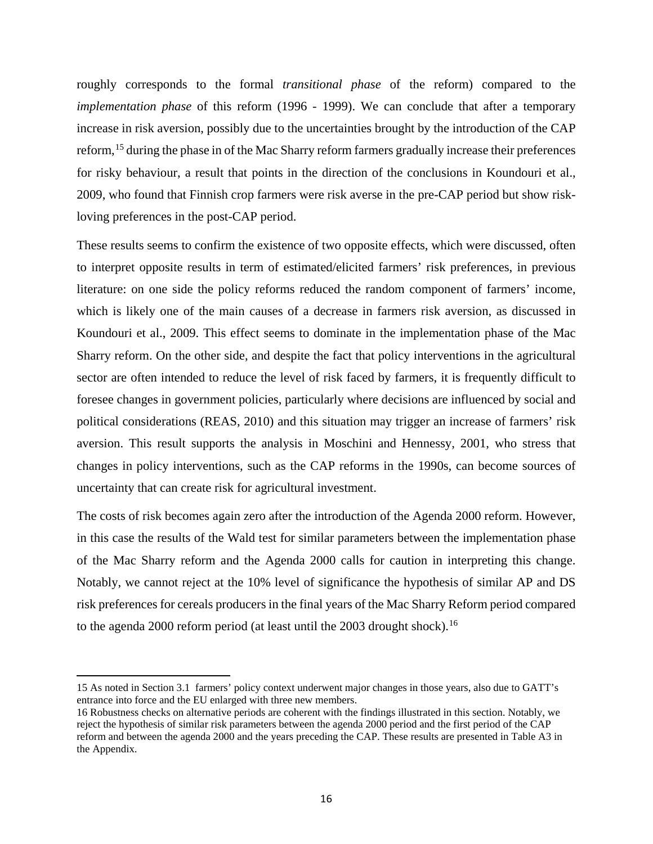roughly corresponds to the formal *transitional phase* of the reform) compared to the *implementation phase* of this reform (1996 - 1999). We can conclude that after a temporary increase in risk aversion, possibly due to the uncertainties brought by the introduction of the CAP reform,<sup>[15](#page-15-0)</sup> during the phase in of the Mac Sharry reform farmers gradually increase their preferences for risky behaviour, a result that points in the direction of the conclusions in Koundouri et al., 2009, who found that Finnish crop farmers were risk averse in the pre-CAP period but show riskloving preferences in the post-CAP period.

These results seems to confirm the existence of two opposite effects, which were discussed, often to interpret opposite results in term of estimated/elicited farmers' risk preferences, in previous literature: on one side the policy reforms reduced the random component of farmers' income, which is likely one of the main causes of a decrease in farmers risk aversion, as discussed in Koundouri et al., 2009. This effect seems to dominate in the implementation phase of the Mac Sharry reform. On the other side, and despite the fact that policy interventions in the agricultural sector are often intended to reduce the level of risk faced by farmers, it is frequently difficult to foresee changes in government policies, particularly where decisions are influenced by social and political considerations (REAS, 2010) and this situation may trigger an increase of farmers' risk aversion. This result supports the analysis in Moschini and Hennessy, 2001, who stress that changes in policy interventions, such as the CAP reforms in the 1990s, can become sources of uncertainty that can create risk for agricultural investment.

The costs of risk becomes again zero after the introduction of the Agenda 2000 reform. However, in this case the results of the Wald test for similar parameters between the implementation phase of the Mac Sharry reform and the Agenda 2000 calls for caution in interpreting this change. Notably, we cannot reject at the 10% level of significance the hypothesis of similar AP and DS risk preferences for cereals producers in the final years of the Mac Sharry Reform period compared to the agenda 2000 reform period (at least until the 2003 drought shock).<sup>[16](#page-15-1)</sup>

 $\overline{\phantom{a}}$ 

<span id="page-15-0"></span><sup>15</sup> As noted in Section 3.1 farmers' policy context underwent major changes in those years, also due to GATT's entrance into force and the EU enlarged with three new members.

<span id="page-15-1"></span><sup>16</sup> Robustness checks on alternative periods are coherent with the findings illustrated in this section. Notably, we reject the hypothesis of similar risk parameters between the agenda 2000 period and the first period of the CAP reform and between the agenda 2000 and the years preceding the CAP. These results are presented in Table A3 in the Appendix.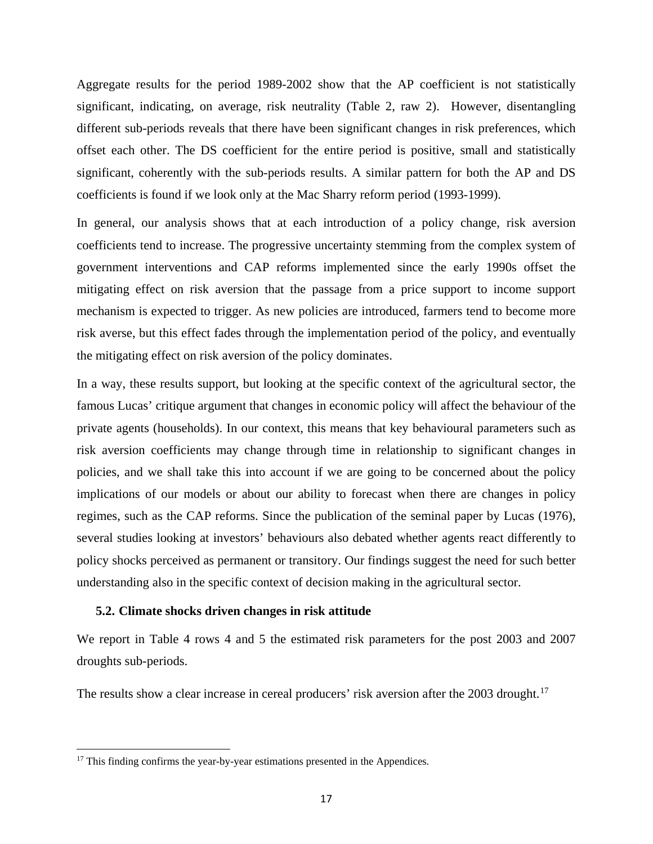Aggregate results for the period 1989-2002 show that the AP coefficient is not statistically significant, indicating, on average, risk neutrality (Table 2, raw 2). However, disentangling different sub-periods reveals that there have been significant changes in risk preferences, which offset each other. The DS coefficient for the entire period is positive, small and statistically significant, coherently with the sub-periods results. A similar pattern for both the AP and DS coefficients is found if we look only at the Mac Sharry reform period (1993-1999).

In general, our analysis shows that at each introduction of a policy change, risk aversion coefficients tend to increase. The progressive uncertainty stemming from the complex system of government interventions and CAP reforms implemented since the early 1990s offset the mitigating effect on risk aversion that the passage from a price support to income support mechanism is expected to trigger. As new policies are introduced, farmers tend to become more risk averse, but this effect fades through the implementation period of the policy, and eventually the mitigating effect on risk aversion of the policy dominates.

In a way, these results support, but looking at the specific context of the agricultural sector, the famous Lucas' critique argument that changes in economic policy will affect the behaviour of the private agents (households). In our context, this means that key behavioural parameters such as risk aversion coefficients may change through time in relationship to significant changes in policies, and we shall take this into account if we are going to be concerned about the policy implications of our models or about our ability to forecast when there are changes in policy regimes, such as the CAP reforms. Since the publication of the seminal paper by Lucas (1976), several studies looking at investors' behaviours also debated whether agents react differently to policy shocks perceived as permanent or transitory. Our findings suggest the need for such better understanding also in the specific context of decision making in the agricultural sector.

## **5.2. Climate shocks driven changes in risk attitude**

We report in Table 4 rows 4 and 5 the estimated risk parameters for the post 2003 and 2007 droughts sub-periods.

The results show a clear increase in cereal producers' risk aversion after the 2003 drought.<sup>[17](#page-16-0)</sup>

 $\overline{\phantom{a}}$ 

<span id="page-16-0"></span><sup>&</sup>lt;sup>17</sup> This finding confirms the year-by-year estimations presented in the Appendices.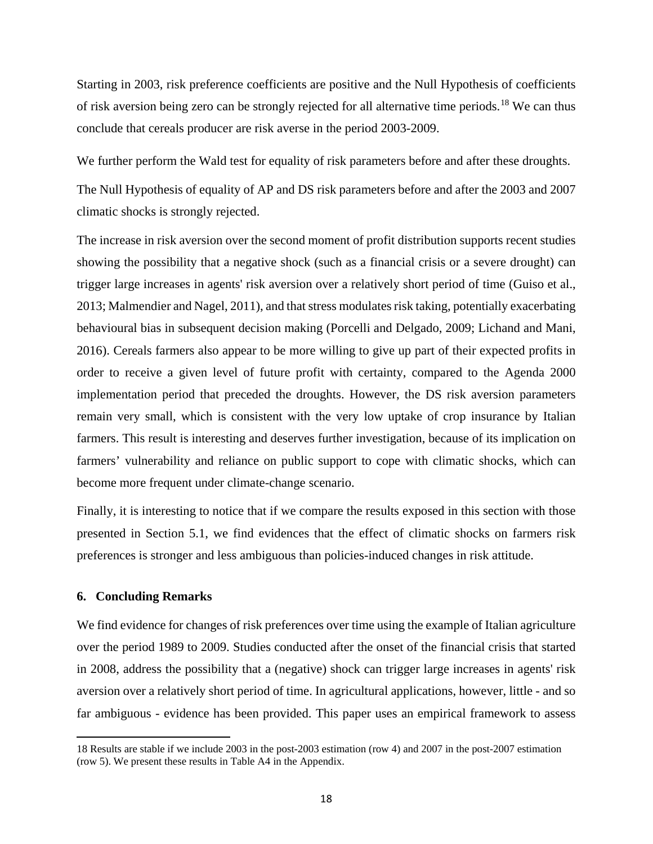Starting in 2003, risk preference coefficients are positive and the Null Hypothesis of coefficients of risk aversion being zero can be strongly rejected for all alternative time periods.<sup>[18](#page-17-0)</sup> We can thus conclude that cereals producer are risk averse in the period 2003-2009.

We further perform the Wald test for equality of risk parameters before and after these droughts.

The Null Hypothesis of equality of AP and DS risk parameters before and after the 2003 and 2007 climatic shocks is strongly rejected.

The increase in risk aversion over the second moment of profit distribution supports recent studies showing the possibility that a negative shock (such as a financial crisis or a severe drought) can trigger large increases in agents' risk aversion over a relatively short period of time (Guiso et al., 2013; Malmendier and Nagel, 2011), and that stress modulates risk taking, potentially exacerbating behavioural bias in subsequent decision making (Porcelli and Delgado, 2009; Lichand and Mani, 2016). Cereals farmers also appear to be more willing to give up part of their expected profits in order to receive a given level of future profit with certainty, compared to the Agenda 2000 implementation period that preceded the droughts. However, the DS risk aversion parameters remain very small, which is consistent with the very low uptake of crop insurance by Italian farmers. This result is interesting and deserves further investigation, because of its implication on farmers' vulnerability and reliance on public support to cope with climatic shocks, which can become more frequent under climate-change scenario.

Finally, it is interesting to notice that if we compare the results exposed in this section with those presented in Section 5.1, we find evidences that the effect of climatic shocks on farmers risk preferences is stronger and less ambiguous than policies-induced changes in risk attitude.

### **6. Concluding Remarks**

 $\overline{\phantom{a}}$ 

We find evidence for changes of risk preferences over time using the example of Italian agriculture over the period 1989 to 2009. Studies conducted after the onset of the financial crisis that started in 2008, address the possibility that a (negative) shock can trigger large increases in agents' risk aversion over a relatively short period of time. In agricultural applications, however, little - and so far ambiguous - evidence has been provided. This paper uses an empirical framework to assess

<span id="page-17-0"></span><sup>18</sup> Results are stable if we include 2003 in the post-2003 estimation (row 4) and 2007 in the post-2007 estimation (row 5). We present these results in Table A4 in the Appendix.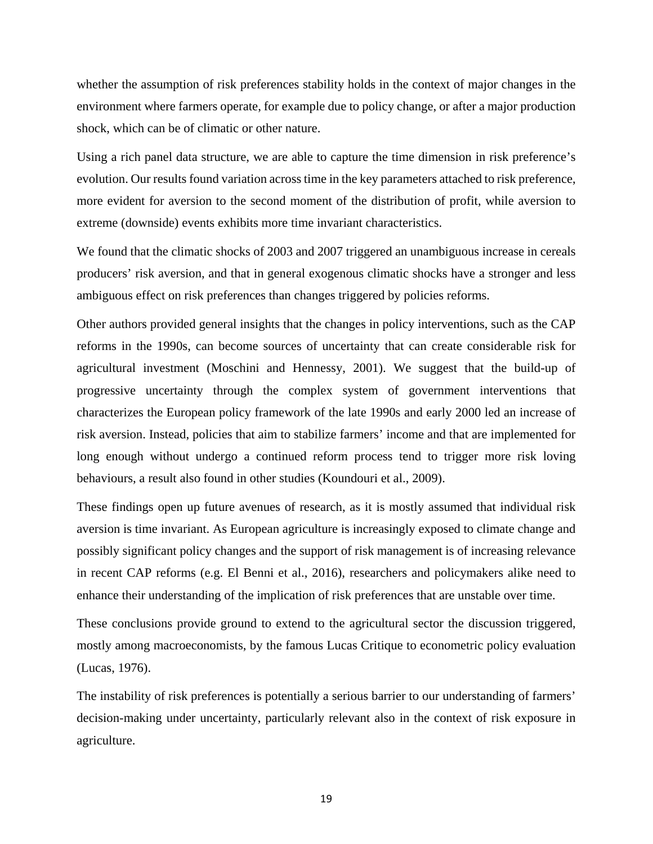whether the assumption of risk preferences stability holds in the context of major changes in the environment where farmers operate, for example due to policy change, or after a major production shock, which can be of climatic or other nature.

Using a rich panel data structure, we are able to capture the time dimension in risk preference's evolution. Our results found variation across time in the key parameters attached to risk preference, more evident for aversion to the second moment of the distribution of profit, while aversion to extreme (downside) events exhibits more time invariant characteristics.

We found that the climatic shocks of 2003 and 2007 triggered an unambiguous increase in cereals producers' risk aversion, and that in general exogenous climatic shocks have a stronger and less ambiguous effect on risk preferences than changes triggered by policies reforms.

Other authors provided general insights that the changes in policy interventions, such as the CAP reforms in the 1990s, can become sources of uncertainty that can create considerable risk for agricultural investment (Moschini and Hennessy, 2001). We suggest that the build-up of progressive uncertainty through the complex system of government interventions that characterizes the European policy framework of the late 1990s and early 2000 led an increase of risk aversion. Instead, policies that aim to stabilize farmers' income and that are implemented for long enough without undergo a continued reform process tend to trigger more risk loving behaviours, a result also found in other studies (Koundouri et al., 2009).

These findings open up future avenues of research, as it is mostly assumed that individual risk aversion is time invariant. As European agriculture is increasingly exposed to climate change and possibly significant policy changes and the support of risk management is of increasing relevance in recent CAP reforms (e.g. El Benni et al., 2016), researchers and policymakers alike need to enhance their understanding of the implication of risk preferences that are unstable over time.

These conclusions provide ground to extend to the agricultural sector the discussion triggered, mostly among macroeconomists, by the famous Lucas Critique to econometric policy evaluation (Lucas, 1976).

The instability of risk preferences is potentially a serious barrier to our understanding of farmers' decision-making under uncertainty, particularly relevant also in the context of risk exposure in agriculture.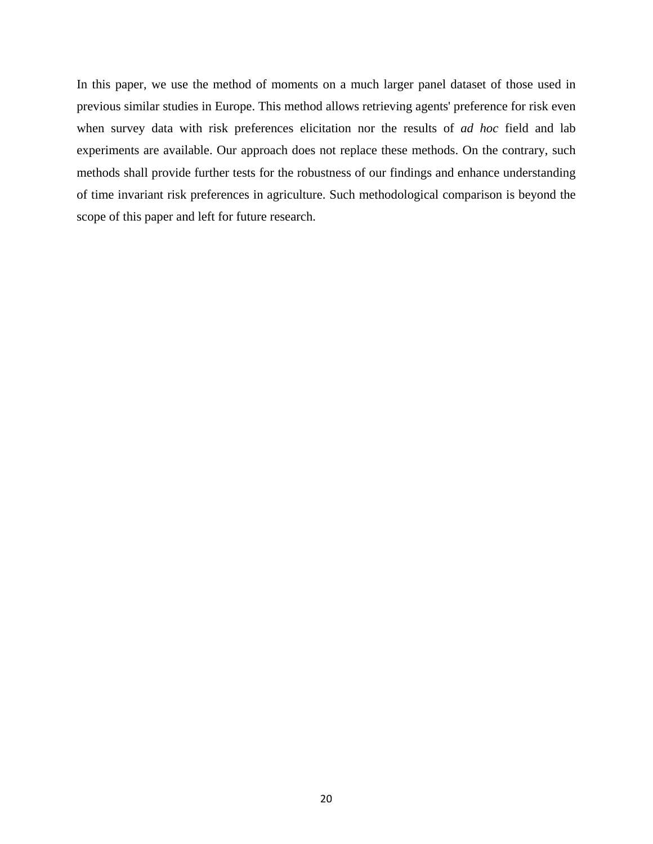In this paper, we use the method of moments on a much larger panel dataset of those used in previous similar studies in Europe. This method allows retrieving agents' preference for risk even when survey data with risk preferences elicitation nor the results of *ad hoc* field and lab experiments are available. Our approach does not replace these methods. On the contrary, such methods shall provide further tests for the robustness of our findings and enhance understanding of time invariant risk preferences in agriculture. Such methodological comparison is beyond the scope of this paper and left for future research.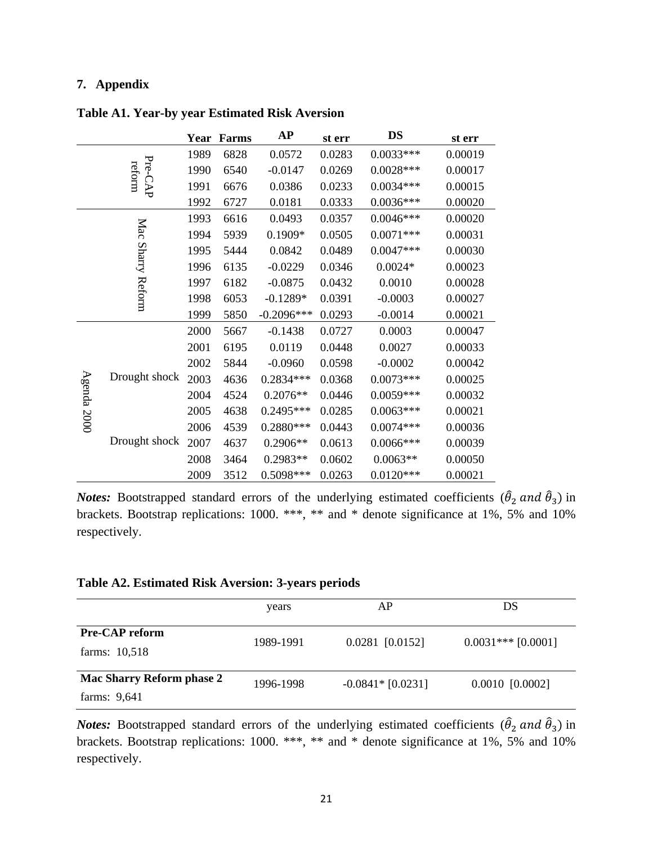## **7. Appendix**

|             |                   | Year | Farms | <b>AP</b>    | st err | <b>DS</b>   | st err  |
|-------------|-------------------|------|-------|--------------|--------|-------------|---------|
|             |                   | 1989 | 6828  | 0.0572       | 0.0283 | $0.0033***$ | 0.00019 |
|             | Pre-CAP<br>reform | 1990 | 6540  | $-0.0147$    | 0.0269 | $0.0028***$ | 0.00017 |
|             |                   | 1991 | 6676  | 0.0386       | 0.0233 | $0.0034***$ | 0.00015 |
|             |                   | 1992 | 6727  | 0.0181       | 0.0333 | $0.0036***$ | 0.00020 |
|             |                   | 1993 | 6616  | 0.0493       | 0.0357 | $0.0046***$ | 0.00020 |
|             |                   | 1994 | 5939  | $0.1909*$    | 0.0505 | $0.0071***$ | 0.00031 |
|             |                   | 1995 | 5444  | 0.0842       | 0.0489 | $0.0047***$ | 0.00030 |
|             | Mac Sharry Reform | 1996 | 6135  | $-0.0229$    | 0.0346 | $0.0024*$   | 0.00023 |
|             |                   | 1997 | 6182  | $-0.0875$    | 0.0432 | 0.0010      | 0.00028 |
|             |                   | 1998 | 6053  | $-0.1289*$   | 0.0391 | $-0.0003$   | 0.00027 |
|             |                   | 1999 | 5850  | $-0.2096***$ | 0.0293 | $-0.0014$   | 0.00021 |
|             |                   | 2000 | 5667  | $-0.1438$    | 0.0727 | 0.0003      | 0.00047 |
|             |                   | 2001 | 6195  | 0.0119       | 0.0448 | 0.0027      | 0.00033 |
|             |                   | 2002 | 5844  | $-0.0960$    | 0.0598 | $-0.0002$   | 0.00042 |
|             | Drought shock     | 2003 | 4636  | 0.2834***    | 0.0368 | $0.0073***$ | 0.00025 |
|             |                   | 2004 | 4524  | $0.2076**$   | 0.0446 | $0.0059***$ | 0.00032 |
| Agenda 2000 |                   | 2005 | 4638  | 0.2495***    | 0.0285 | $0.0063***$ | 0.00021 |
|             | Drought shock     | 2006 | 4539  | $0.2880***$  | 0.0443 | $0.0074***$ | 0.00036 |
|             |                   | 2007 | 4637  | $0.2906**$   | 0.0613 | $0.0066***$ | 0.00039 |
|             |                   | 2008 | 3464  | 0.2983**     | 0.0602 | $0.0063**$  | 0.00050 |
|             |                   | 2009 | 3512  | 0.5098***    | 0.0263 | $0.0120***$ | 0.00021 |

## **Table A1. Year-by year Estimated Risk Aversion**

*Notes:* Bootstrapped standard errors of the underlying estimated coefficients  $(\hat{\theta}_2 \text{ and } \hat{\theta}_3)$  in brackets. Bootstrap replications: 1000. \*\*\*, \*\* and \* denote significance at 1%, 5% and 10% respectively.

## **Table A2. Estimated Risk Aversion: 3-years periods**

|                                                  | years     | AP                  | DS                   |
|--------------------------------------------------|-----------|---------------------|----------------------|
| <b>Pre-CAP reform</b><br>farms: 10,518           | 1989-1991 | $0.0281$ [0.0152]   | $0.0031***$ [0.0001] |
| <b>Mac Sharry Reform phase 2</b><br>farms: 9,641 | 1996-1998 | $-0.0841*$ [0.0231] | $0.0010$ [0.0002]    |

*Notes:* Bootstrapped standard errors of the underlying estimated coefficients  $(\hat{\theta}_2 \text{ and } \hat{\theta}_3)$  in brackets. Bootstrap replications: 1000. \*\*\*, \*\* and \* denote significance at 1%, 5% and 10% respectively.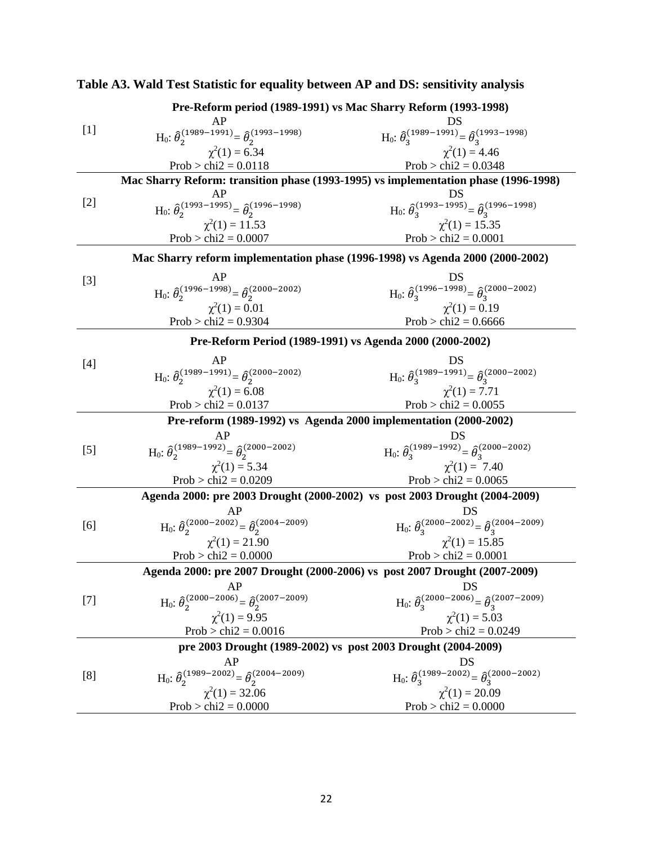|       | Pre-Reform period (1989-1991) vs Mac Sharry Reform (1993-1998)                      |                                                                                      |  |  |  |  |  |
|-------|-------------------------------------------------------------------------------------|--------------------------------------------------------------------------------------|--|--|--|--|--|
|       | AP                                                                                  | DS                                                                                   |  |  |  |  |  |
| $[1]$ | H <sub>0</sub> : $\hat{\theta}_{2}^{(1989-1991)} = \hat{\theta}_{2}^{(1993-1998)}$  | $H_0: \hat{\theta}_3^{(1989-1991)} = \hat{\theta}_3^{(1993-1998)}$                   |  |  |  |  |  |
|       | $\chi^2(1) = 6.34$                                                                  | $\chi^2(1) = 4.46$                                                                   |  |  |  |  |  |
|       | Prob > chi $2 = 0.0118$                                                             | Prob > chi $2 = 0.0348$                                                              |  |  |  |  |  |
|       | Mac Sharry Reform: transition phase (1993-1995) vs implementation phase (1996-1998) |                                                                                      |  |  |  |  |  |
|       | AP                                                                                  | DS                                                                                   |  |  |  |  |  |
| $[2]$ | H <sub>0</sub> : $\hat{\theta}_2^{(1993-1995)} = \hat{\theta}_2^{(1996-1998)}$      | $H_0: \hat{\theta}_3^{(1993-1995)} = \hat{\theta}_3^{(1996-1998)}$                   |  |  |  |  |  |
|       | $\chi^2(1) = 11.53$                                                                 | $\chi^2(1) = 15.35$                                                                  |  |  |  |  |  |
|       | $Prob > chi2 = 0.0007$                                                              | $Prob > chi2 = 0.0001$                                                               |  |  |  |  |  |
|       | Mac Sharry reform implementation phase (1996-1998) vs Agenda 2000 (2000-2002)       |                                                                                      |  |  |  |  |  |
| $[3]$ | AP                                                                                  | DS                                                                                   |  |  |  |  |  |
|       | $H_0$ : $\hat{\theta}_2^{(1996-1998)} = \hat{\theta}_2^{(2000-2002)}$               | H <sub>0</sub> : $\theta_3^{(1996-1998)} = \theta_3^{(2000-2002)}$                   |  |  |  |  |  |
|       | $\chi^2(1) = 0.01$                                                                  | $\chi^2(1) = 0.19$                                                                   |  |  |  |  |  |
|       | Prob > chi $2 = 0.9304$                                                             | Prob > chi $2 = 0.6666$                                                              |  |  |  |  |  |
|       | Pre-Reform Period (1989-1991) vs Agenda 2000 (2000-2002)                            |                                                                                      |  |  |  |  |  |
|       |                                                                                     |                                                                                      |  |  |  |  |  |
| $[4]$ | AP                                                                                  | DS<br>H <sub>0</sub> : $\hat{\theta}_3^{(1989-1991)} = \hat{\theta}_3^{(2000-2002)}$ |  |  |  |  |  |
|       | H <sub>0</sub> : $\hat{\theta}_{2}^{(1989-1991)} = \hat{\theta}_{2}^{(2000-2002)}$  |                                                                                      |  |  |  |  |  |
|       | $\chi^2(1) = 6.08$                                                                  | $\chi^2(1) = 7.71$                                                                   |  |  |  |  |  |
|       | $Prob > chi2 = 0.0137$                                                              | Prob > chi $2 = 0.0055$                                                              |  |  |  |  |  |
|       | Pre-reform (1989-1992) vs Agenda 2000 implementation (2000-2002)                    |                                                                                      |  |  |  |  |  |
|       | AP                                                                                  |                                                                                      |  |  |  |  |  |
| $[5]$ | H <sub>0</sub> : $\hat{\theta}_2^{(1989-1992)} = \hat{\theta}_2^{(2000-2002)}$      | H <sub>0</sub> : $\hat{\theta}_3^{(1989-1992)} = \hat{\theta}_3^{(2000-2002)}$       |  |  |  |  |  |
|       | $\chi^2(1) = 5.34$                                                                  | $\chi^2(1) = 7.40$                                                                   |  |  |  |  |  |
|       | Prob > chi $2 = 0.0209$                                                             | Prob > chi $2 = 0.0065$                                                              |  |  |  |  |  |
|       | Agenda 2000: pre 2003 Drought (2000-2002) vs post 2003 Drought (2004-2009)          |                                                                                      |  |  |  |  |  |
|       | AP                                                                                  | DS                                                                                   |  |  |  |  |  |
| [6]   | H <sub>0</sub> : $\hat{\theta}_2^{(2000-2002)} = \hat{\theta}_2^{(2004-2009)}$      | H <sub>0</sub> : $\hat{\theta}_3^{(2000-2002)} = \hat{\theta}_3^{(2004-2009)}$       |  |  |  |  |  |
|       | $\chi^2(1) = 21.90$                                                                 | $\chi^2(1) = 15.85$                                                                  |  |  |  |  |  |
|       | Prob > chi $2 = 0.0000$                                                             | $Prob > chi2 = 0.0001$                                                               |  |  |  |  |  |
|       | Agenda 2000: pre 2007 Drought (2000-2006) vs post 2007 Drought (2007-2009)          |                                                                                      |  |  |  |  |  |
|       | AP                                                                                  | DS                                                                                   |  |  |  |  |  |
| $[7]$ | $H_0$ : $\hat{\theta}_2^{(2000-2006)} = \hat{\theta}_2^{(2007-2009)}$               | H <sub>0</sub> : $\hat{\theta}_3^{(2000-2006)} = \hat{\theta}_3^{(2007-2009)}$       |  |  |  |  |  |
|       | $\chi^2(1) = 9.95$                                                                  | $\chi^2(1) = 5.03$                                                                   |  |  |  |  |  |
|       | Prob > chi $2 = 0.0016$                                                             | $Prob > chi2 = 0.0249$                                                               |  |  |  |  |  |
|       | pre 2003 Drought (1989-2002) vs post 2003 Drought (2004-2009)                       |                                                                                      |  |  |  |  |  |
|       | AP                                                                                  | DS                                                                                   |  |  |  |  |  |
| [8]   | H <sub>0</sub> : $\hat{\theta}_{2}^{(1989-2002)} = \hat{\theta}_{2}^{(2004-2009)}$  | $H_0$ : $\hat{\theta}_3^{(1989-2002)} = \hat{\theta}_3^{(2000-2002)}$                |  |  |  |  |  |
|       | $\chi^2(1) = 32.06$                                                                 | $\chi^2(1) = 20.09$                                                                  |  |  |  |  |  |
|       | $Prob > chi2 = 0.0000$                                                              | $Prob > chi2 = 0.0000$                                                               |  |  |  |  |  |

# **Table A3. Wald Test Statistic for equality between AP and DS: sensitivity analysis**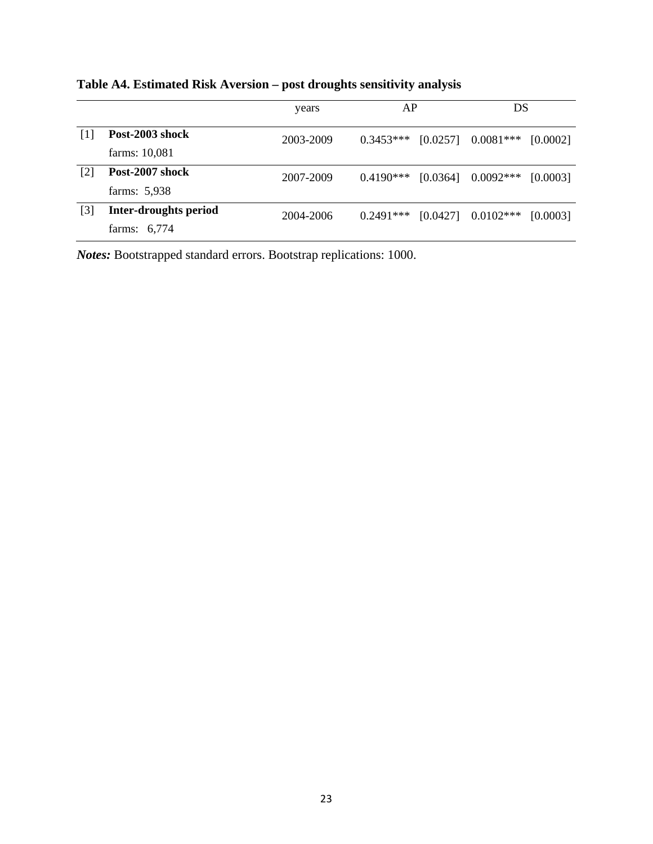|     |                                                | years     | AP          |          | DS                   |          |
|-----|------------------------------------------------|-----------|-------------|----------|----------------------|----------|
|     | Post-2003 shock<br>farms: 10,081               | 2003-2009 | $0.3453***$ |          | $[0.0257]$ 0.0081*** | [0.0002] |
| [2] | Post-2007 shock<br>farms: 5,938                | 2007-2009 | $0.4190***$ | [0.0364] | $0.0092***$          | [0.0003] |
| [3] | <b>Inter-droughts period</b><br>farms: $6,774$ | 2004-2006 | $0.2491***$ | [0.0427] | $0.0102***$          | [0.0003] |

## **Table A4. Estimated Risk Aversion – post droughts sensitivity analysis**

*Notes:* Bootstrapped standard errors. Bootstrap replications: 1000.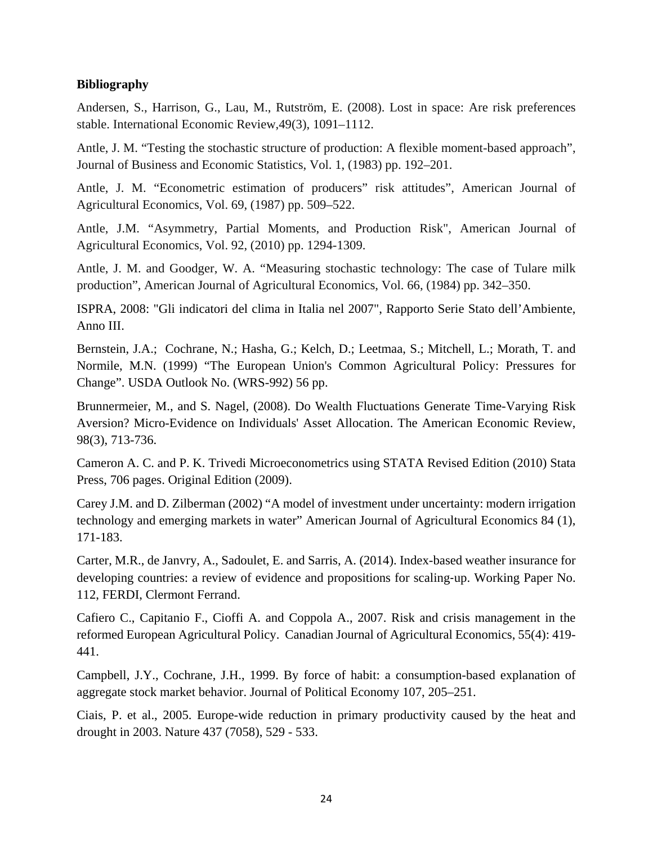## **Bibliography**

Andersen, S., Harrison, G., Lau, M., Rutström, E. (2008). Lost in space: Are risk preferences stable. International Economic Review,49(3), 1091–1112.

Antle, J. M. "Testing the stochastic structure of production: A flexible moment-based approach", Journal of Business and Economic Statistics, Vol. 1, (1983) pp. 192–201.

Antle, J. M. "Econometric estimation of producers" risk attitudes", American Journal of Agricultural Economics, Vol. 69, (1987) pp. 509–522.

Antle, J.M. "Asymmetry, Partial Moments, and Production Risk", American Journal of Agricultural Economics, Vol. 92, (2010) pp. 1294-1309.

Antle, J. M. and Goodger, W. A. "Measuring stochastic technology: The case of Tulare milk production", American Journal of Agricultural Economics, Vol. 66, (1984) pp. 342–350.

ISPRA, 2008: "Gli indicatori del clima in Italia nel 2007", Rapporto Serie Stato dell'Ambiente, Anno III.

Bernstein, J.A.; Cochrane, N.; Hasha, G.; Kelch, D.; Leetmaa, S.; Mitchell, L.; Morath, T. and Normile, M.N. (1999) "The European Union's Common Agricultural Policy: Pressures for Change". USDA Outlook No. (WRS-992) 56 pp.

Brunnermeier, M., and S. Nagel, (2008). Do Wealth Fluctuations Generate Time-Varying Risk Aversion? Micro-Evidence on Individuals' Asset Allocation. The American Economic Review, 98(3), 713-736.

Cameron A. C. and P. K. Trivedi Microeconometrics using STATA Revised Edition (2010) Stata Press, 706 pages. Original Edition (2009).

Carey J.M. and D. Zilberman (2002) ["A model of investment under uncertainty: modern irrigation](https://scholar.google.com/citations?view_op=view_citation&hl=en&user=DhU5JswAAAAJ&citation_for_view=DhU5JswAAAAJ:ufrVoPGSRksC)  [technology and emerging markets in water"](https://scholar.google.com/citations?view_op=view_citation&hl=en&user=DhU5JswAAAAJ&citation_for_view=DhU5JswAAAAJ:ufrVoPGSRksC) American Journal of Agricultural Economics 84 (1), 171-183.

Carter, M.R., de Janvry, A., Sadoulet, E. and Sarris, A. (2014). Index-based weather insurance for developing countries: a review of evidence and propositions for scaling‐up. Working Paper No. 112, FERDI, Clermont Ferrand.

Cafiero C., Capitanio F., Cioffi A. and Coppola A., 2007. Risk and crisis management in the reformed European Agricultural Policy. Canadian Journal of Agricultural Economics, 55(4): 419- 441.

Campbell, J.Y., Cochrane, J.H., 1999. By force of habit: a consumption-based explanation of aggregate stock market behavior. Journal of Political Economy 107, 205–251.

Ciais, P. et al., 2005. Europe-wide reduction in primary productivity caused by the heat and drought in 2003. Nature 437 (7058), 529 - 533.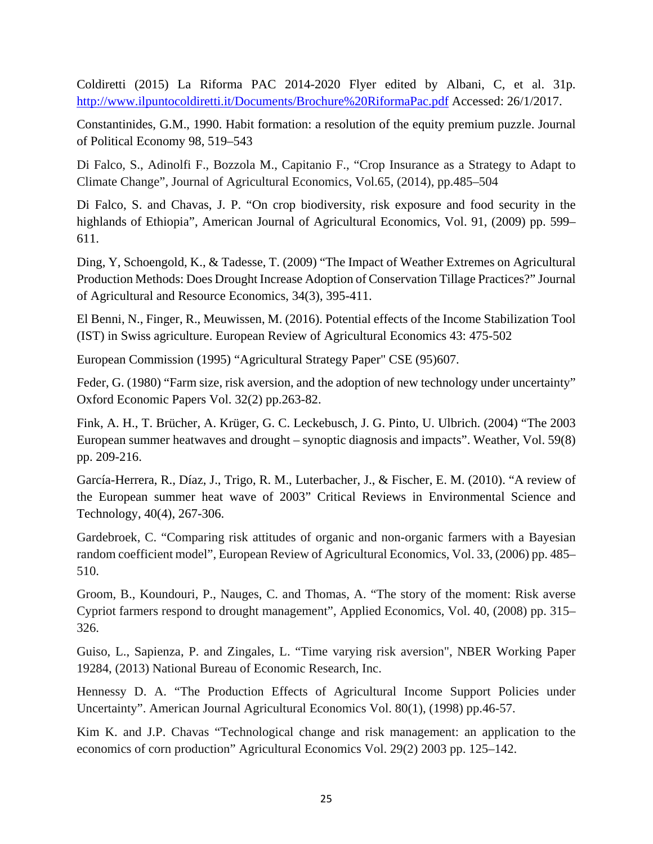Coldiretti (2015) La Riforma PAC 2014-2020 Flyer edited by Albani, C, et al. 31p. <http://www.ilpuntocoldiretti.it/Documents/Brochure%20RiformaPac.pdf> Accessed: 26/1/2017.

Constantinides, G.M., 1990. Habit formation: a resolution of the equity premium puzzle. Journal of Political Economy 98, 519–543

Di Falco, S., Adinolfi F., Bozzola M., Capitanio F., "Crop Insurance as a Strategy to Adapt to Climate Change", Journal of Agricultural Economics, Vol.65, (2014), pp.485–504

Di Falco, S. and Chavas, J. P. "On crop biodiversity, risk exposure and food security in the highlands of Ethiopia", American Journal of Agricultural Economics, Vol. 91, (2009) pp. 599– 611.

Ding, Y, Schoengold, K., & Tadesse, T. (2009) "The Impact of Weather Extremes on Agricultural Production Methods: Does Drought Increase Adoption of Conservation Tillage Practices?" Journal of Agricultural and Resource Economics, 34(3), 395-411.

El Benni, N., Finger, R., Meuwissen, M. (2016). Potential effects of the Income Stabilization Tool (IST) in Swiss agriculture. European Review of Agricultural Economics 43: 475-502

European Commission (1995) "Agricultural Strategy Paper" CSE (95)607.

Feder, G. (1980) "Farm size, risk aversion, and the adoption of new technology under uncertainty" Oxford Economic Papers Vol. 32(2) pp.263-82.

Fink, A. H., T. Brücher, A. Krüger, G. C. Leckebusch, J. G. Pinto, U. Ulbrich. (2004) "The 2003 European summer heatwaves and drought – synoptic diagnosis and impacts". Weather, Vol. 59(8) pp. 209-216.

García-Herrera, R., Díaz, J., Trigo, R. M., Luterbacher, J., & Fischer, E. M. (2010). "A review of the European summer heat wave of 2003" Critical Reviews in Environmental Science and Technology, 40(4), 267-306.

Gardebroek, C. "Comparing risk attitudes of organic and non-organic farmers with a Bayesian random coefficient model", European Review of Agricultural Economics, Vol. 33, (2006) pp. 485– 510.

Groom, B., Koundouri, P., Nauges, C. and Thomas, A. "The story of the moment: Risk averse Cypriot farmers respond to drought management", Applied Economics, Vol. 40, (2008) pp. 315– 326.

Guiso, L., Sapienza, P. and Zingales, L. "Time varying risk aversion", NBER Working Paper 19284, (2013) National Bureau of Economic Research, Inc.

Hennessy D. A. "The Production Effects of Agricultural Income Support Policies under Uncertainty". American Journal Agricultural Economics Vol. 80(1), (1998) pp.46-57.

Kim K. and J.P. Chavas "Technological change and risk management: an application to the economics of corn production" Agricultural Economics Vol. 29(2) 2003 pp. 125–142.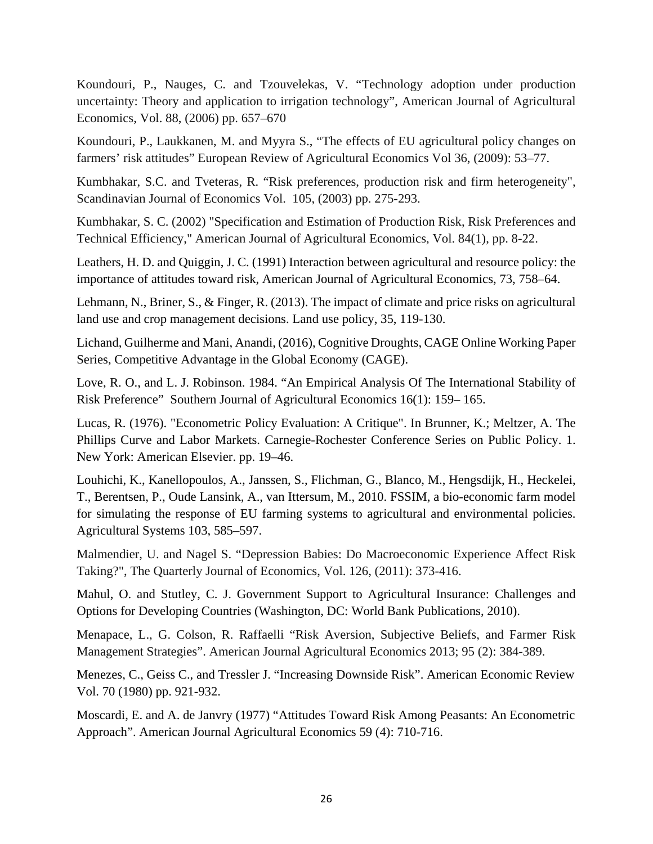Koundouri, P., Nauges, C. and Tzouvelekas, V. "Technology adoption under production uncertainty: Theory and application to irrigation technology", American Journal of Agricultural Economics, Vol. 88, (2006) pp. 657–670

Koundouri, P., Laukkanen, M. and Myyra S., "The effects of EU agricultural policy changes on farmers' risk attitudes" European Review of Agricultural Economics Vol 36, (2009): 53–77.

Kumbhakar, S.C. and Tveteras, R. "Risk preferences, production risk and firm heterogeneity", Scandinavian Journal of Economics Vol. 105, (2003) pp. 275-293.

Kumbhakar, S. C. (2002) ["Specification and Estimation of Production Risk, Risk Preferences and](https://ideas.repec.org/a/oup/ajagec/v84y2002i1p8-22.html)  [Technical Efficiency,](https://ideas.repec.org/a/oup/ajagec/v84y2002i1p8-22.html)" [American Journal of Agricultural Economics,](https://ideas.repec.org/s/oup/ajagec.html) Vol. 84(1), pp. 8-22.

Leathers, H. D. and Quiggin, J. C. (1991) Interaction between agricultural and resource policy: the importance of attitudes toward risk, American Journal of Agricultural Economics, 73, 758–64.

Lehmann, N., Briner, S., & Finger, R. (2013). The impact of climate and price risks on agricultural land use and crop management decisions. Land use policy, 35, 119-130.

Lichand, Guilherme and Mani, Anandi, (2016)[, Cognitive Droughts,](http://econpapers.repec.org/RePEc:cge:wacage:298) CAGE Online Working Paper Series, Competitive Advantage in the Global Economy (CAGE).

Love, R. O., and L. J. Robinson. 1984. "An Empirical Analysis Of The International Stability of Risk Preference" Southern Journal of Agricultural Economics 16(1): 159– 165.

Lucas, R. (1976). "Econometric Policy Evaluation: A Critique". In [Brunner, K.;](https://en.wikipedia.org/wiki/Karl_Brunner_%28economist%29) Meltzer, A. The Phillips Curve and Labor Markets. Carnegie-Rochester Conference Series on Public Policy. 1. New York: American Elsevier. pp. 19–46.

Louhichi, K., Kanellopoulos, A., Janssen, S., Flichman, G., Blanco, M., Hengsdijk, H., Heckelei, T., Berentsen, P., Oude Lansink, A., van Ittersum, M., 2010. FSSIM, a bio-economic farm model for simulating the response of EU farming systems to agricultural and environmental policies. Agricultural Systems 103, 585–597.

Malmendier, U. and Nagel S. "Depression Babies: Do Macroeconomic Experience Affect Risk Taking?", The Quarterly Journal of Economics, Vol. 126, (2011): 373-416.

Mahul, O. and Stutley, C. J. Government Support to Agricultural Insurance: Challenges and Options for Developing Countries (Washington, DC: World Bank Publications, 2010).

Menapace, L., G. Colson, R. Raffaelli "Risk Aversion, Subjective Beliefs, and Farmer Risk Management Strategies". American Journal Agricultural Economics 2013; 95 (2): 384-389.

Menezes, C., Geiss C., and Tressler J. "Increasing Downside Risk". American Economic Review Vol. 70 (1980) pp. 921-932.

Moscardi, E. and A. de Janvry (1977) "Attitudes Toward Risk Among Peasants: An Econometric Approach". American Journal Agricultural Economics 59 (4): 710-716.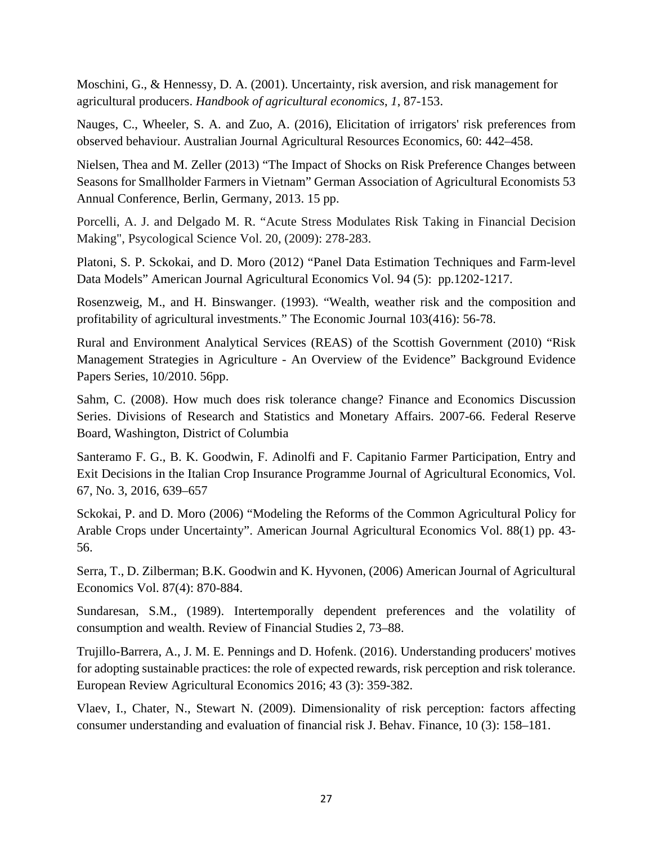Moschini, G., & Hennessy, D. A. (2001). Uncertainty, risk aversion, and risk management for agricultural producers. *Handbook of agricultural economics*, *1*, 87-153.

Nauges, C., Wheeler, S. A. and Zuo, A. (2016), Elicitation of irrigators' risk preferences from observed behaviour. Australian Journal Agricultural Resources Economics, 60: 442–458.

Nielsen, Thea and M. Zeller (2013) "The Impact of Shocks on Risk Preference Changes between Seasons for Smallholder Farmers in Vietnam" German Association of Agricultural Economists 53 Annual Conference, Berlin, Germany, 2013. 15 pp.

Porcelli, A. J. and Delgado M. R. "Acute Stress Modulates Risk Taking in Financial Decision Making", Psycological Science Vol. 20, (2009): 278-283.

Platoni, S. P. Sckokai, and D. Moro (2012) "Panel Data Estimation Techniques and Farm-level Data Models" American Journal Agricultural Economics Vol. 94 (5): pp.1202-1217.

Rosenzweig, M., and H. Binswanger. (1993). "Wealth, weather risk and the composition and profitability of agricultural investments." The Economic Journal 103(416): 56-78.

Rural and Environment Analytical Services (REAS) of the Scottish Government (2010) "Risk Management Strategies in Agriculture - An Overview of the Evidence" Background Evidence Papers Series, 10/2010. 56pp.

Sahm, C. (2008). How much does risk tolerance change? Finance and Economics Discussion Series. Divisions of Research and Statistics and Monetary Affairs. 2007-66. Federal Reserve Board, Washington, District of Columbia

Santeramo F. G., B. K. Goodwin, F. Adinolfi and F. Capitanio Farmer Participation, Entry and Exit Decisions in the Italian Crop Insurance Programme Journal of Agricultural Economics, Vol. 67, No. 3, 2016, 639–657

Sckokai, P. and D. Moro (2006) "Modeling the Reforms of the Common Agricultural Policy for Arable Crops under Uncertainty". American Journal Agricultural Economics Vol. 88(1) pp. 43- 56.

Serra, T., D. Zilberman; B.K. Goodwin and K. Hyvonen, (2006) American Journal of Agricultural Economics Vol. 87(4): 870-884.

Sundaresan, S.M., (1989). Intertemporally dependent preferences and the volatility of consumption and wealth. Review of Financial Studies 2, 73–88.

Trujillo-Barrera, A., J. M. E. Pennings and D. Hofenk. (2016). Understanding producers' motives for adopting sustainable practices: the role of expected rewards, risk perception and risk tolerance. European Review Agricultural Economics 2016; 43 (3): 359-382.

Vlaev, I., Chater, N., Stewart N. (2009). Dimensionality of risk perception: factors affecting consumer understanding and evaluation of financial risk J. Behav. Finance, 10 (3): 158–181.